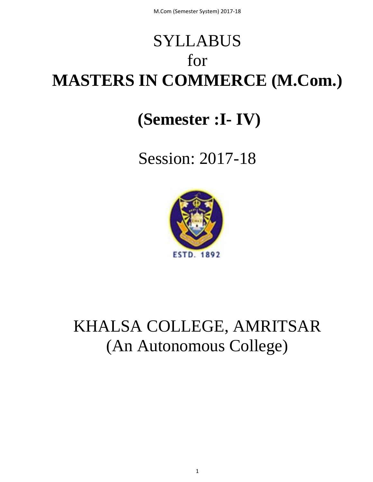# SYLLABUS for **MASTERS IN COMMERCE (M.Com.)**

# **(Semester :I- IV)**

# Session: 2017-18



# KHALSA COLLEGE, AMRITSAR (An Autonomous College)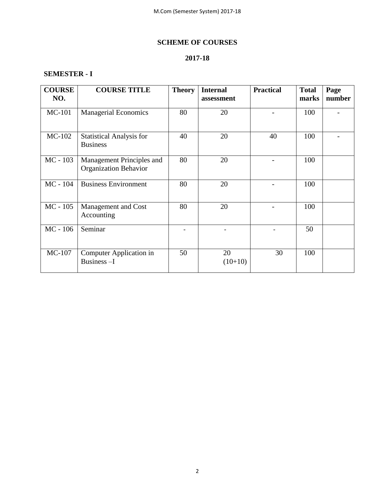# **SCHEME OF COURSES**

# **2017-18**

# **SEMESTER - I**

| <b>COURSE</b><br>NO. | <b>COURSE TITLE</b>                                       | <b>Theory</b> | <b>Internal</b><br>assessment | <b>Practical</b> | <b>Total</b><br>marks | Page<br>number |
|----------------------|-----------------------------------------------------------|---------------|-------------------------------|------------------|-----------------------|----------------|
| <b>MC-101</b>        | <b>Managerial Economics</b>                               | 80            | 20                            |                  | 100                   |                |
| MC-102               | <b>Statistical Analysis for</b><br><b>Business</b>        | 40            | 20                            | 40               | 100                   |                |
| $MC - 103$           | Management Principles and<br><b>Organization Behavior</b> | 80            | 20                            |                  | 100                   |                |
| $MC - 104$           | <b>Business Environment</b>                               | 80            | 20                            |                  | 100                   |                |
| $MC - 105$           | Management and Cost<br>Accounting                         | 80            | 20                            |                  | 100                   |                |
| $MC - 106$           | Seminar                                                   |               |                               |                  | 50                    |                |
| MC-107               | Computer Application in<br>Business-I                     | 50            | 20<br>$(10+10)$               | 30               | 100                   |                |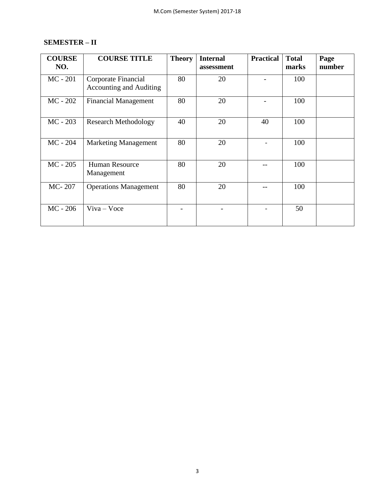# **SEMESTER – II**

| <b>COURSE</b><br>NO. | <b>COURSE TITLE</b>                                   | <b>Theory</b> | <b>Internal</b><br>assessment | <b>Practical</b> | <b>Total</b><br>marks | Page<br>number |
|----------------------|-------------------------------------------------------|---------------|-------------------------------|------------------|-----------------------|----------------|
| $MC - 201$           | Corporate Financial<br><b>Accounting and Auditing</b> | 80            | 20                            |                  | 100                   |                |
| $MC - 202$           | <b>Financial Management</b>                           | 80            | 20                            |                  | 100                   |                |
| $MC - 203$           | <b>Research Methodology</b>                           | 40            | 20                            | 40               | 100                   |                |
| $MC - 204$           | <b>Marketing Management</b>                           | 80            | 20                            |                  | 100                   |                |
| $MC - 205$           | Human Resource<br>Management                          | 80            | 20                            |                  | 100                   |                |
| MC-207               | <b>Operations Management</b>                          | 80            | 20                            |                  | 100                   |                |
| $MC - 206$           | $V$ iva – Voce                                        |               |                               |                  | 50                    |                |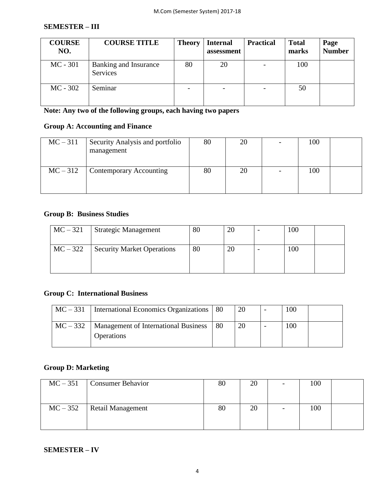#### **SEMESTER – III**

| <b>COURSE</b><br>NO. | <b>COURSE TITLE</b>               | <b>Theory</b> | <b>Internal</b><br>assessment | <b>Practical</b> | <b>Total</b><br>marks | Page<br><b>Number</b> |
|----------------------|-----------------------------------|---------------|-------------------------------|------------------|-----------------------|-----------------------|
| $MC - 301$           | Banking and Insurance<br>Services | 80            | 20                            |                  | 100                   |                       |
| $MC - 302$           | Seminar                           |               | $\overline{\phantom{a}}$      |                  | 50                    |                       |

**Note: Any two of the following groups, each having two papers**

# **Group A: Accounting and Finance**

| $MC-311$ | Security Analysis and portfolio<br>management | 80 | 20 | 100 |  |
|----------|-----------------------------------------------|----|----|-----|--|
| $MC-312$ | Contemporary Accounting                       | 80 | 20 | 100 |  |

# **Group B: Business Studies**

| $MC-321$   | Strategic Management              | 80 | 20 | 100 |  |
|------------|-----------------------------------|----|----|-----|--|
| $MC - 322$ | <b>Security Market Operations</b> | 80 | 20 | 100 |  |

# **Group C: International Business**

| $MC-331$ | International Economics Organizations   80        |    | 20 | $_{00}$ |  |
|----------|---------------------------------------------------|----|----|---------|--|
|          | $MC - 332$   Management of International Business | 80 |    | 00      |  |
|          | <b>Operations</b>                                 |    |    |         |  |

# **Group D: Marketing**

| $MC-351$   | <b>Consumer Behavior</b> | 80 | 20 | - | 100 |  |
|------------|--------------------------|----|----|---|-----|--|
| $MC - 352$ | Retail Management        | 80 | 20 | - | 100 |  |

### **SEMESTER – IV**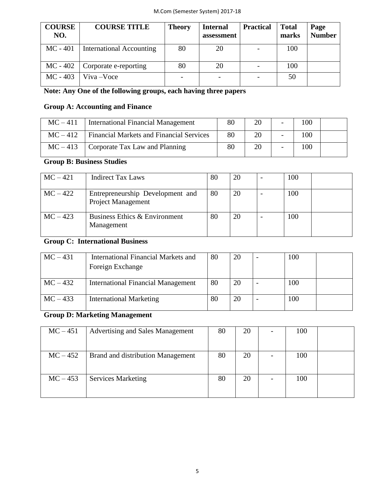| <b>COURSE</b><br>NO. | <b>COURSE TITLE</b>             | <b>Theory</b> | <b>Internal</b><br>assessment | <b>Practical</b> | <b>Total</b><br>marks | Page<br><b>Number</b> |
|----------------------|---------------------------------|---------------|-------------------------------|------------------|-----------------------|-----------------------|
| $MC - 401$           | <b>International Accounting</b> | 80            | 20                            |                  | 100                   |                       |
| $MC - 402$           | Corporate e-reporting           | 80            | 20                            |                  | 100                   |                       |
| $MC - 403$           | Viva-Voce                       |               |                               |                  | 50                    |                       |

# **Note: Any One of the following groups, each having three papers**

## **Group A: Accounting and Finance**

| $MC-411$ | International Financial Management              | 80 | 20 | 100 |  |
|----------|-------------------------------------------------|----|----|-----|--|
| $MC-412$ | <b>Financial Markets and Financial Services</b> | 80 | 20 | 100 |  |
|          | $MC-413$ Corporate Tax Law and Planning         | 80 | 20 | 100 |  |

# **Group B: Business Studies**

| $MC-421$ | <b>Indirect Tax Laws</b>                                      | 80 | 20 | 100 |  |
|----------|---------------------------------------------------------------|----|----|-----|--|
| $MC-422$ | Entrepreneurship Development and<br><b>Project Management</b> | 80 | 20 | 100 |  |
| $MC-423$ | Business Ethics & Environment<br>Management                   | 80 | 20 | 100 |  |

# **Group C: International Business**

| $MC-431$ | International Financial Markets and<br>Foreign Exchange | 80 | 20 | 100 |  |
|----------|---------------------------------------------------------|----|----|-----|--|
| $MC-432$ | <b>International Financial Management</b>               | 80 | 20 | 100 |  |
| $MC-433$ | <b>International Marketing</b>                          | 80 | 20 | 100 |  |

# **Group D: Marketing Management**

| $MC-451$   | <b>Advertising and Sales Management</b> | 80 | 20 | 100 |  |
|------------|-----------------------------------------|----|----|-----|--|
|            |                                         |    |    |     |  |
| $MC - 452$ | Brand and distribution Management       | 80 | 20 | 100 |  |
|            |                                         |    |    |     |  |
| $MC-453$   | <b>Services Marketing</b>               | 80 | 20 | 100 |  |
|            |                                         |    |    |     |  |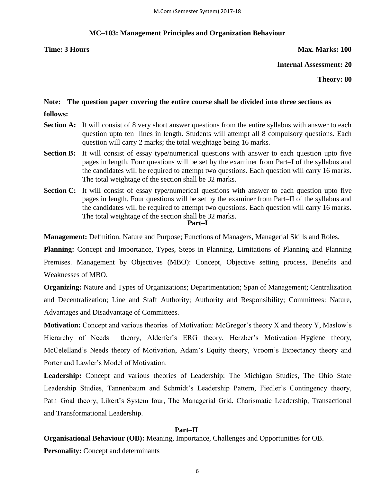#### **MC–103: Management Principles and Organization Behaviour**

**Time: 3 Hours Max. Marks: 100** 

**Internal Assessment: 20**

**Theory: 80**

# **Note: The question paper covering the entire course shall be divided into three sections as**

- **follows:**
- **Section A:** It will consist of 8 very short answer questions from the entire syllabus with answer to each question upto ten lines in length. Students will attempt all 8 compulsory questions. Each question will carry 2 marks; the total weightage being 16 marks.
- **Section B:** It will consist of essay type/numerical questions with answer to each question upto five pages in length. Four questions will be set by the examiner from Part–I of the syllabus and the candidates will be required to attempt two questions. Each question will carry 16 marks. The total weightage of the section shall be 32 marks.
- **Section C:** It will consist of essay type/numerical questions with answer to each question upto five pages in length. Four questions will be set by the examiner from Part–II of the syllabus and the candidates will be required to attempt two questions. Each question will carry 16 marks. The total weightage of the section shall be 32 marks. **Part–I**

**Management:** Definition, Nature and Purpose; Functions of Managers, Managerial Skills and Roles.

**Planning:** Concept and Importance, Types, Steps in Planning, Limitations of Planning and Planning Premises. Management by Objectives (MBO): Concept, Objective setting process, Benefits and Weaknesses of MBO.

**Organizing:** Nature and Types of Organizations; Departmentation; Span of Management; Centralization and Decentralization; Line and Staff Authority; Authority and Responsibility; Committees: Nature, Advantages and Disadvantage of Committees.

**Motivation:** Concept and various theories of Motivation: McGregor's theory X and theory Y, Maslow's Hierarchy of Needs theory, Alderfer's ERG theory, Herzber's Motivation–Hygiene theory, McCelelland's Needs theory of Motivation, Adam's Equity theory, Vroom's Expectancy theory and Porter and Lawler's Model of Motivation.

**Leadership:** Concept and various theories of Leadership: The Michigan Studies, The Ohio State Leadership Studies, Tannenbaum and Schmidt's Leadership Pattern, Fiedler's Contingency theory, Path–Goal theory, Likert's System four, The Managerial Grid, Charismatic Leadership, Transactional and Transformational Leadership.

#### **Part–II**

**Organisational Behaviour (OB):** Meaning, Importance, Challenges and Opportunities for OB.

**Personality:** Concept and determinants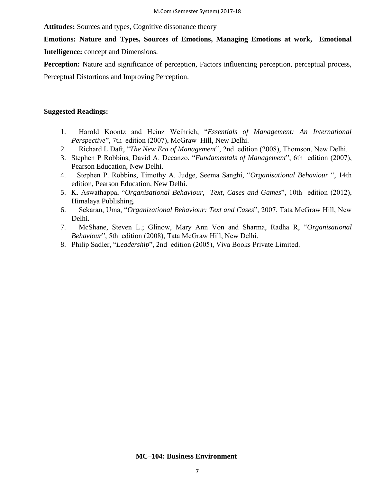**Attitudes:** Sources and types, Cognitive dissonance theory

# **Emotions: Nature and Types, Sources of Emotions, Managing Emotions at work, Emotional**

**Intelligence:** concept and Dimensions.

**Perception:** Nature and significance of perception, Factors influencing perception, perceptual process,

Perceptual Distortions and Improving Perception.

#### **Suggested Readings:**

- 1. Harold Koontz and Heinz Weihrich, ―*Essentials of Management: An International Perspective*", 7th edition (2007), McGraw-Hill, New Delhi.
- 2. Richard L Daft, "*The New Era of Management*", 2nd edition (2008), Thomson, New Delhi.
- 3. Stephen P Robbins, David A. Decanzo, "*Fundamentals of Management*", 6th edition (2007), Pearson Education, New Delhi.
- 4. Stephen P. Robbins, Timothy A. Judge, Seema Sanghi, "*Organisational Behaviour*", 14th edition, Pearson Education, New Delhi.
- 5. K. Aswathappa, "Organisational Behaviour, Text, Cases and Games", 10th edition (2012), Himalaya Publishing.
- 6. Sekaran, Uma, "Organizational Behaviour: Text and Cases", 2007, Tata McGraw Hill, New Delhi.
- 7. McShane, Steven L.; Glinow, Mary Ann Von and Sharma, Radha R, "Organisational *Behaviour*", 5th edition (2008), Tata McGraw Hill, New Delhi.
- 8. Philip Sadler, "Leadership", 2nd edition (2005), Viva Books Private Limited.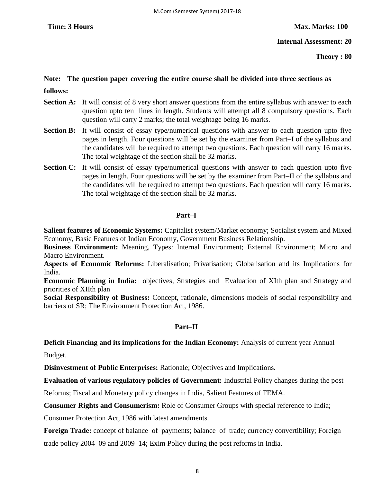**Internal Assessment: 20**

**Theory : 80**

### **Note: The question paper covering the entire course shall be divided into three sections as**

**follows:** 

- **Section A:** It will consist of 8 very short answer questions from the entire syllabus with answer to each question upto ten lines in length. Students will attempt all 8 compulsory questions. Each question will carry 2 marks; the total weightage being 16 marks.
- **Section B:** It will consist of essay type/numerical questions with answer to each question upto five pages in length. Four questions will be set by the examiner from Part–I of the syllabus and the candidates will be required to attempt two questions. Each question will carry 16 marks. The total weightage of the section shall be 32 marks.
- **Section C:** It will consist of essay type/numerical questions with answer to each question upto five pages in length. Four questions will be set by the examiner from Part–II of the syllabus and the candidates will be required to attempt two questions. Each question will carry 16 marks. The total weightage of the section shall be 32 marks.

#### **Part–I**

**Salient features of Economic Systems:** Capitalist system/Market economy; Socialist system and Mixed Economy, Basic Features of Indian Economy, Government Business Relationship.

**Business Environment:** Meaning, Types: Internal Environment; External Environment; Micro and Macro Environment.

**Aspects of Economic Reforms:** Liberalisation; Privatisation; Globalisation and its Implications for India.

**Economic Planning in India:** objectives, Strategies and Evaluation of XIth plan and Strategy and priorities of XIIth plan

**Social Responsibility of Business:** Concept, rationale, dimensions models of social responsibility and barriers of SR; The Environment Protection Act, 1986.

#### **Part–II**

#### **Deficit Financing and its implications for the Indian Economy:** Analysis of current year Annual

Budget.

**Disinvestment of Public Enterprises:** Rationale; Objectives and Implications.

**Evaluation of various regulatory policies of Government:** Industrial Policy changes during the post

Reforms; Fiscal and Monetary policy changes in India, Salient Features of FEMA.

**Consumer Rights and Consumerism:** Role of Consumer Groups with special reference to India;

Consumer Protection Act, 1986 with latest amendments.

**Foreign Trade:** concept of balance–of–payments; balance–of–trade; currency convertibility; Foreign trade policy 2004–09 and 2009–14; Exim Policy during the post reforms in India.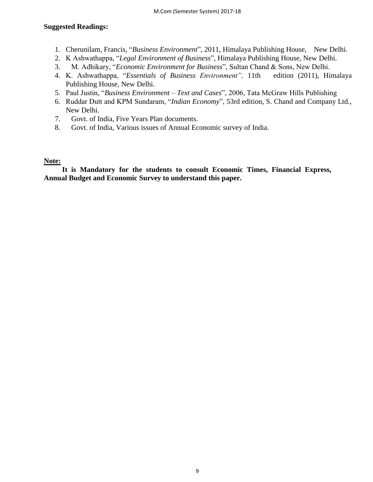#### **Suggested Readings:**

- 1. Cherunilam, Francis, "Business Environment", 2011, Himalaya Publishing House, New Delhi.
- 2. K Ashwathappa, "Legal Environment of Business", Himalaya Publishing House, New Delhi.
- 3. M. Adhikary, "*Economic Environment for Business*", Sultan Chand & Sons, New Delhi.
- 4. K. Ashwathappa, "Essentials of Business Environment", 11th edition (2011), Himalaya Publishing House, New Delhi.
- 5. Paul Justin, "Business Environment Text and Cases", 2006, Tata McGraw Hills Publishing
- 6. Ruddar Dutt and KPM Sundaram, "Indian Economy", 53rd edition, S. Chand and Company Ltd., New Delhi.
- 7. Govt. of India, Five Years Plan documents.
- 8. Govt. of India, Various issues of Annual Economic survey of India.

#### **Note:**

 **It is Mandatory for the students to consult Economic Times, Financial Express, Annual Budget and Economic Survey to understand this paper.**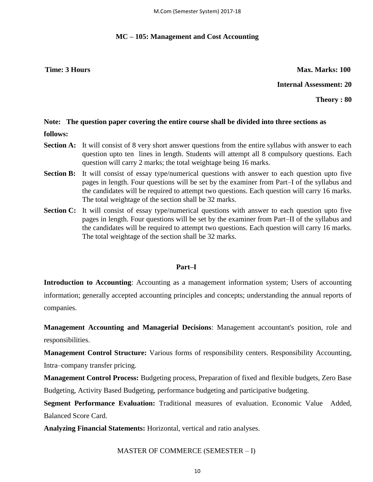#### **MC – 105: Management and Cost Accounting**

**Time: 3 Hours Max. Marks: 100** 

**Internal Assessment: 20**

**Theory : 80**

#### **Note: The question paper covering the entire course shall be divided into three sections as**

- **follows:**
- **Section A:** It will consist of 8 very short answer questions from the entire syllabus with answer to each question upto ten lines in length. Students will attempt all 8 compulsory questions. Each question will carry 2 marks; the total weightage being 16 marks.
- **Section B:** It will consist of essay type/numerical questions with answer to each question upto five pages in length. Four questions will be set by the examiner from Part–I of the syllabus and the candidates will be required to attempt two questions. Each question will carry 16 marks. The total weightage of the section shall be 32 marks.
- **Section C:** It will consist of essay type/numerical questions with answer to each question upto five pages in length. Four questions will be set by the examiner from Part–II of the syllabus and the candidates will be required to attempt two questions. Each question will carry 16 marks. The total weightage of the section shall be 32 marks.

#### **Part–I**

**Introduction to Accounting**: Accounting as a management information system; Users of accounting information; generally accepted accounting principles and concepts; understanding the annual reports of companies.

**Management Accounting and Managerial Decisions**: Management accountant's position, role and responsibilities.

**Management Control Structure:** Various forms of responsibility centers. Responsibility Accounting, Intra–company transfer pricing.

**Management Control Process:** Budgeting process, Preparation of fixed and flexible budgets, Zero Base Budgeting, Activity Based Budgeting, performance budgeting and participative budgeting.

**Segment Performance Evaluation:** Traditional measures of evaluation. Economic Value Added, Balanced Score Card.

**Analyzing Financial Statements:** Horizontal, vertical and ratio analyses.

#### MASTER OF COMMERCE (SEMESTER – I)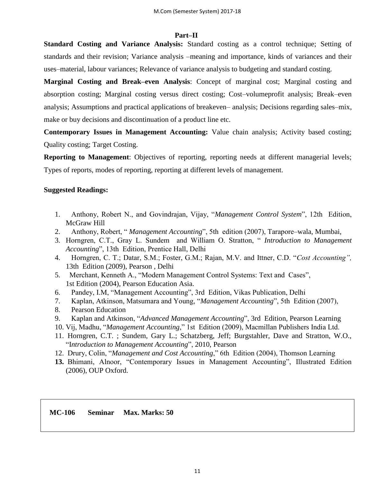#### **Part–II**

**Standard Costing and Variance Analysis:** Standard costing as a control technique; Setting of standards and their revision; Variance analysis –meaning and importance, kinds of variances and their uses–material, labour variances; Relevance of variance analysis to budgeting and standard costing.

**Marginal Costing and Break–even Analysis**: Concept of marginal cost; Marginal costing and absorption costing; Marginal costing versus direct costing; Cost–volumeprofit analysis; Break–even analysis; Assumptions and practical applications of breakeven– analysis; Decisions regarding sales–mix, make or buy decisions and discontinuation of a product line etc.

**Contemporary Issues in Management Accounting:** Value chain analysis; Activity based costing; Quality costing; Target Costing.

**Reporting to Management**: Objectives of reporting, reporting needs at different managerial levels; Types of reports, modes of reporting, reporting at different levels of management.

#### **Suggested Readings:**

- 1. Anthony, Robert N., and Govindrajan, Vijay, "*Management Control System*", 12th Edition, McGraw Hill
- 2. Anthony, Robert, "*Management Accounting*", 5th edition (2007), Tarapore–wala, Mumbai,
- 3. Horngren, C.T., Gray L. Sundem and William O. Stratton, "*Introduction to Management Accounting*", 13th Edition, Prentice Hall, Delhi
- 4. Horngren, C. T.; Datar, S.M.; Foster, G.M.; Rajan, M.V. and Ittner, C.D. "Cost Accounting", 13th Edition (2009), Pearson , Delhi
- 5. Merchant, Kenneth A., "Modern Management Control Systems: Text and Cases", 1st Edition (2004), Pearson Education Asia.
- 6. Pandey, I.M, "Management Accounting", 3rd Edition, Vikas Publication, Delhi
- 7. Kaplan, Atkinson, Matsumara and Young, "Management Accounting", 5th Edition (2007),
- 8. Pearson Education
- 9. Kaplan and Atkinson, "*Advanced Management Accounting*", 3rd Edition, Pearson Learning
- 10. Vij, Madhu, "Management Accounting," 1st Edition (2009), Macmillan Publishers India Ltd.
- 11. Horngren, C.T. ; Sundem, Gary L.; Schatzberg, Jeff; Burgstahler, Dave and Stratton, W.O., ―I*ntroduction to Management Accounting*‖, 2010, Pearson
- 12. Drury, Colin, "Management and Cost Accounting," 6th Edition (2004), Thomson Learning
- 13. Bhimani, Alnoor, "Contemporary Issues in Management Accounting", Illustrated Edition (2006), OUP Oxford.

**MC-106 Seminar Max. Marks: 50**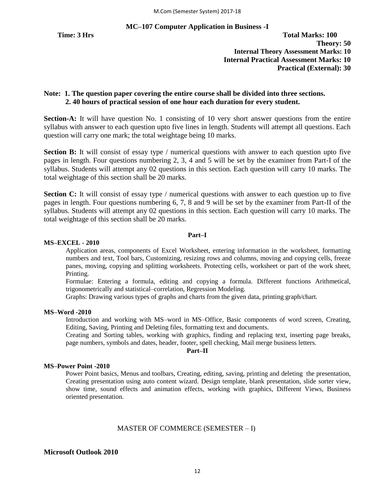**MC–107 Computer Application in Business -I**

#### **Note: 1. The question paper covering the entire course shall be divided into three sections. 2. 40 hours of practical session of one hour each duration for every student.**

**Section-A:** It will have question No. 1 consisting of 10 very short answer questions from the entire syllabus with answer to each question upto five lines in length. Students will attempt all questions. Each question will carry one mark; the total weightage being 10 marks.

**Section B:** It will consist of essay type / numerical questions with answer to each question upto five pages in length. Four questions numbering 2, 3, 4 and 5 will be set by the examiner from Part-I of the syllabus. Students will attempt any 02 questions in this section. Each question will carry 10 marks. The total weightage of this section shall be 20 marks.

**Section C:** It will consist of essay type / numerical questions with answer to each question up to five pages in length. Four questions numbering 6, 7, 8 and 9 will be set by the examiner from Part-II of the syllabus. Students will attempt any 02 questions in this section. Each question will carry 10 marks. The total weightage of this section shall be 20 marks.

#### **Part–I**

#### **MS–EXCEL - 2010**

Application areas, components of Excel Worksheet, entering information in the worksheet, formatting numbers and text, Tool bars, Customizing, resizing rows and columns, moving and copying cells, freeze panes, moving, copying and splitting worksheets. Protecting cells, worksheet or part of the work sheet, Printing.

Formulae: Entering a formula, editing and copying a formula. Different functions Arithmetical, trigonometrically and statistical–correlation, Regression Modeling.

Graphs: Drawing various types of graphs and charts from the given data, printing graph/chart.

#### **MS–Word -2010**

Introduction and working with MS–word in MS–Office, Basic components of word screen, Creating, Editing, Saving, Printing and Deleting files, formatting text and documents.

Creating and Sorting tables, working with graphics, finding and replacing text, inserting page breaks, page numbers, symbols and dates, header, footer, spell checking, Mail merge business letters.

#### **Part–II**

#### **MS–Power Point -2010**

Power Point basics, Menus and toolbars, Creating, editing, saving, printing and deleting the presentation, Creating presentation using auto content wizard. Design template, blank presentation, slide sorter view, show time, sound effects and animation effects, working with graphics, Different Views, Business oriented presentation.

#### MASTER OF COMMERCE (SEMESTER – I)

#### **Microsoft Outlook 2010**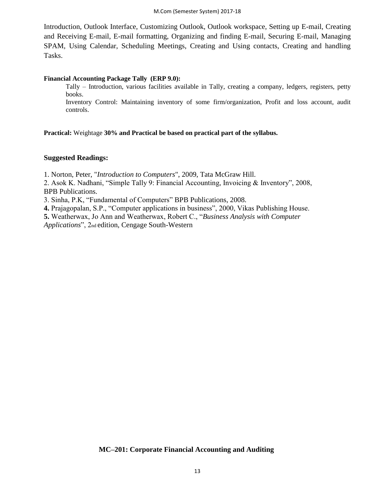Introduction, Outlook Interface, Customizing Outlook, Outlook workspace, Setting up E-mail, Creating and Receiving E-mail, E-mail formatting, Organizing and finding E-mail, Securing E-mail, Managing SPAM, Using Calendar, Scheduling Meetings, Creating and Using contacts, Creating and handling Tasks.

#### **Financial Accounting Package Tally (ERP 9.0):**

Tally – Introduction, various facilities available in Tally, creating a company, ledgers, registers, petty books.

Inventory Control: Maintaining inventory of some firm/organization, Profit and loss account, audit controls.

**Practical:** Weightage **30% and Practical be based on practical part of the syllabus.**

#### **Suggested Readings:**

1. Norton, Peter, "*Introduction to Computers*", 2009, Tata McGraw Hill.

2. Asok K. Nadhani, "Simple Tally 9: Financial Accounting, Invoicing & Inventory", 2008, BPB Publications.

3. Sinha, P.K, "Fundamental of Computers" BPB Publications, 2008.

**4.** Prajagopalan, S.P., "Computer applications in business", 2000, Vikas Publishing House.

**5.** Weatherwax, Jo Ann and Weatherwax, Robert C., ―*Business Analysis with Computer*

*Applications*‖, 2nd edition, Cengage South-Western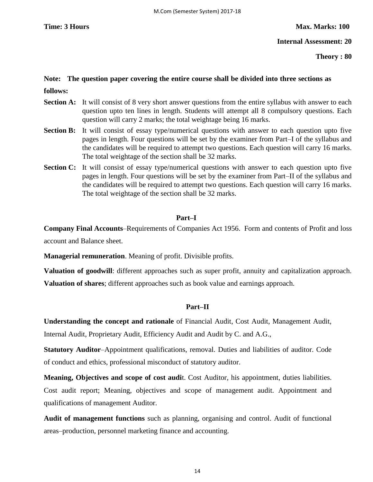**Internal Assessment: 20**

**Theory : 80**

# **Note: The question paper covering the entire course shall be divided into three sections as**

**follows:** 

- **Section A:** It will consist of 8 very short answer questions from the entire syllabus with answer to each question upto ten lines in length. Students will attempt all 8 compulsory questions. Each question will carry 2 marks; the total weightage being 16 marks.
- **Section B:** It will consist of essay type/numerical questions with answer to each question upto five pages in length. Four questions will be set by the examiner from Part–I of the syllabus and the candidates will be required to attempt two questions. Each question will carry 16 marks. The total weightage of the section shall be 32 marks.
- **Section C:** It will consist of essay type/numerical questions with answer to each question upto five pages in length. Four questions will be set by the examiner from Part–II of the syllabus and the candidates will be required to attempt two questions. Each question will carry 16 marks. The total weightage of the section shall be 32 marks.

#### **Part–I**

**Company Final Accounts**–Requirements of Companies Act 1956. Form and contents of Profit and loss account and Balance sheet.

**Managerial remuneration**. Meaning of profit. Divisible profits.

**Valuation of goodwill**: different approaches such as super profit, annuity and capitalization approach. **Valuation of shares**; different approaches such as book value and earnings approach.

#### **Part–II**

**Understanding the concept and rationale** of Financial Audit, Cost Audit, Management Audit, Internal Audit, Proprietary Audit, Efficiency Audit and Audit by C. and A.G.,

**Statutory Auditor**–Appointment qualifications, removal. Duties and liabilities of auditor. Code of conduct and ethics, professional misconduct of statutory auditor.

**Meaning, Objectives and scope of cost audi**t. Cost Auditor, his appointment, duties liabilities. Cost audit report; Meaning, objectives and scope of management audit. Appointment and qualifications of management Auditor.

**Audit of management functions** such as planning, organising and control. Audit of functional areas–production, personnel marketing finance and accounting.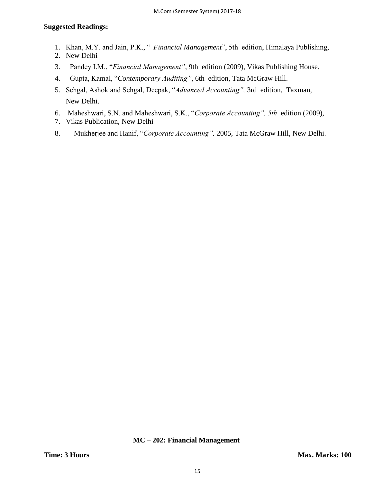### **Suggested Readings:**

- 1. Khan, M.Y. and Jain, P.K., " Financial Management", 5th edition, Himalaya Publishing,
- 2. New Delhi
- 3. Pandey I.M., "Financial Management", 9th edition (2009), Vikas Publishing House.
- 4. Gupta, Kamal, "Contemporary Auditing", 6th edition, Tata McGraw Hill.
- 5. Sehgal, Ashok and Sehgal, Deepak, "Advanced Accounting", 3rd edition, Taxman, New Delhi.
- 6. Maheshwari, S.N. and Maheshwari, S.K., "Corporate Accounting", 5th edition (2009),
- 7. Vikas Publication, New Delhi
- 8. Mukherjee and Hanif, "Corporate Accounting", 2005, Tata McGraw Hill, New Delhi.

#### **MC – 202: Financial Management**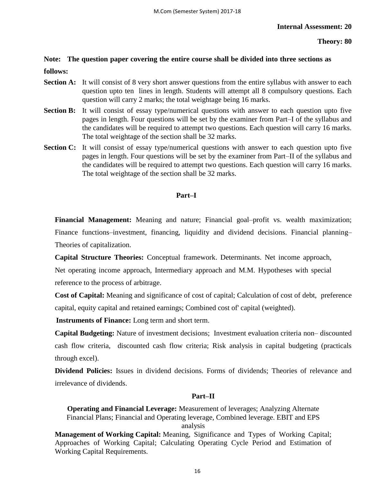#### **Theory: 80**

# **Note: The question paper covering the entire course shall be divided into three sections as follows:**

- **Section A:** It will consist of 8 very short answer questions from the entire syllabus with answer to each question upto ten lines in length. Students will attempt all 8 compulsory questions. Each question will carry 2 marks; the total weightage being 16 marks.
- **Section B:** It will consist of essay type/numerical questions with answer to each question upto five pages in length. Four questions will be set by the examiner from Part–I of the syllabus and the candidates will be required to attempt two questions. Each question will carry 16 marks. The total weightage of the section shall be 32 marks.
- **Section C:** It will consist of essay type/numerical questions with answer to each question upto five pages in length. Four questions will be set by the examiner from Part–II of the syllabus and the candidates will be required to attempt two questions. Each question will carry 16 marks. The total weightage of the section shall be 32 marks.

#### **Part–I**

**Financial Management:** Meaning and nature; Financial goal–profit vs. wealth maximization; Finance functions–investment, financing, liquidity and dividend decisions. Financial planning– Theories of capitalization.

**Capital Structure Theories:** Conceptual framework. Determinants. Net income approach, Net operating income approach, Intermediary approach and M.M. Hypotheses with special reference to the process of arbitrage.

**Cost of Capital:** Meaning and significance of cost of capital; Calculation of cost of debt, preference capital, equity capital and retained earnings; Combined cost of' capital (weighted).

**Instruments of Finance:** Long term and short term.

**Capital Budgeting:** Nature of investment decisions; Investment evaluation criteria non– discounted cash flow criteria, discounted cash flow criteria; Risk analysis in capital budgeting (practicals through excel).

**Dividend Policies:** Issues in dividend decisions. Forms of dividends; Theories of relevance and irrelevance of dividends.

#### **Part–II**

**Operating and Financial Leverage:** Measurement of leverages; Analyzing Alternate Financial Plans; Financial and Operating leverage, Combined leverage. EBIT and EPS analysis

**Management of Working Capital:** Meaning, Significance and Types of Working Capital; Approaches of Working Capital; Calculating Operating Cycle Period and Estimation of Working Capital Requirements.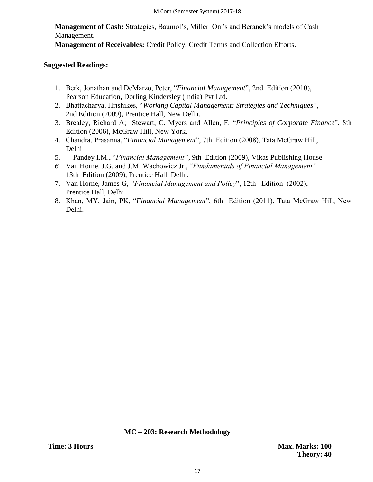**Management of Cash:** Strategies, Baumol's, Miller–Orr's and Beranek's models of Cash Management.

**Management of Receivables:** Credit Policy, Credit Terms and Collection Efforts.

#### **Suggested Readings:**

- 1. Berk, Jonathan and DeMarzo, Peter, "Financial Management", 2nd Edition (2010), Pearson Education, Dorling Kindersley (India) Pvt Ltd.
- 2. Bhattacharya, Hrishikes, "Working Capital Management: Strategies and Techniques", 2nd Edition (2009), Prentice Hall, New Delhi.
- 3. Brealey, Richard A; Stewart, C. Myers and Allen, F. "Principles of Corporate Finance", 8th Edition (2006), McGraw Hill, New York.
- 4. Chandra, Prasanna, "Financial Management", 7th Edition (2008), Tata McGraw Hill, Delhi
- 5. Pandey I.M., "*Financial Management*", 9th Edition (2009), Vikas Publishing House
- 6. Van Horne. J.G. and J.M. Wachowicz Jr., "Fundamentals of Financial Management", 13th Edition (2009), Prentice Hall, Delhi.
- 7. Van Horne, James G, "Financial Management and Policy", 12th Edition (2002), Prentice Hall, Delhi
- 8. Khan, MY, Jain, PK, "Financial Management", 6th Edition (2011), Tata McGraw Hill, New Delhi.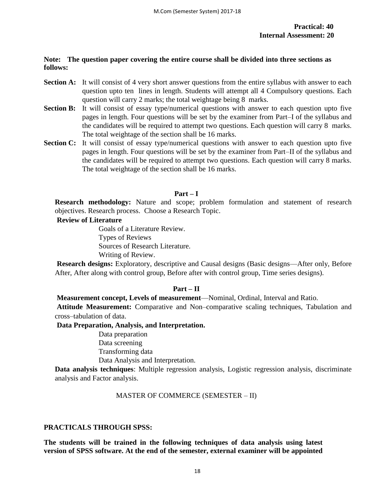#### **Note: The question paper covering the entire course shall be divided into three sections as follows:**

- **Section A:** It will consist of 4 very short answer questions from the entire syllabus with answer to each question upto ten lines in length. Students will attempt all 4 Compulsory questions. Each question will carry 2 marks; the total weightage being 8 marks.
- **Section B:** It will consist of essay type/numerical questions with answer to each question upto five pages in length. Four questions will be set by the examiner from Part–I of the syllabus and the candidates will be required to attempt two questions. Each question will carry 8 marks. The total weightage of the section shall be 16 marks.
- **Section C:** It will consist of essay type/numerical questions with answer to each question upto five pages in length. Four questions will be set by the examiner from Part–II of the syllabus and the candidates will be required to attempt two questions. Each question will carry 8 marks. The total weightage of the section shall be 16 marks.

#### **Part – I**

**Research methodology:** Nature and scope; problem formulation and statement of research objectives. Research process. Choose a Research Topic.

#### **Review of Literature**

Goals of a Literature Review. Types of Reviews Sources of Research Literature. Writing of Review.

**Research designs:** Exploratory, descriptive and Causal designs (Basic designs—After only, Before After, After along with control group, Before after with control group, Time series designs).

#### **Part – II**

**Measurement concept, Levels of measurement**—Nominal, Ordinal, Interval and Ratio.

**Attitude Measurement:** Comparative and Non–comparative scaling techniques, Tabulation and cross–tabulation of data.

**Data Preparation, Analysis, and Interpretation.** 

Data preparation Data screening Transforming data Data Analysis and Interpretation.

**Data analysis techniques**: Multiple regression analysis, Logistic regression analysis, discriminate analysis and Factor analysis.

#### MASTER OF COMMERCE (SEMESTER – II)

#### **PRACTICALS THROUGH SPSS:**

**The students will be trained in the following techniques of data analysis using latest version of SPSS software. At the end of the semester, external examiner will be appointed**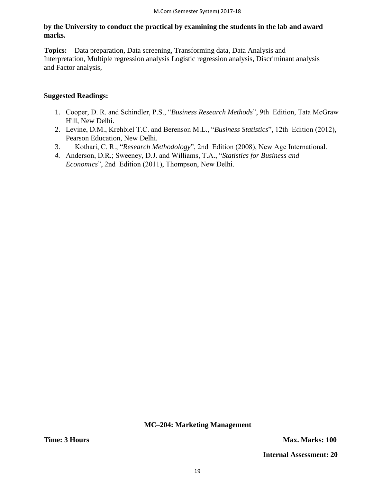**by the University to conduct the practical by examining the students in the lab and award marks.** 

**Topics:** Data preparation, Data screening, Transforming data, Data Analysis and Interpretation, Multiple regression analysis Logistic regression analysis, Discriminant analysis and Factor analysis,

#### **Suggested Readings:**

- 1. Cooper, D. R. and Schindler, P.S., "Business Research Methods", 9th Edition, Tata McGraw Hill, New Delhi.
- 2. Levine, D.M., Krehbiel T.C. and Berenson M.L., "Business Statistics", 12th Edition (2012), Pearson Education, New Delhi.
- 3. Kothari, C. R., "Research Methodology", 2nd Edition (2008), New Age International.
- 4. Anderson, D.R.; Sweeney, D.J. and Williams, T.A., "Statistics for Business and *Economics*", 2nd Edition (2011), Thompson, New Delhi.

**MC–204: Marketing Management**

**Time: 3 Hours Max. Marks: 100** 

 **Internal Assessment: 20**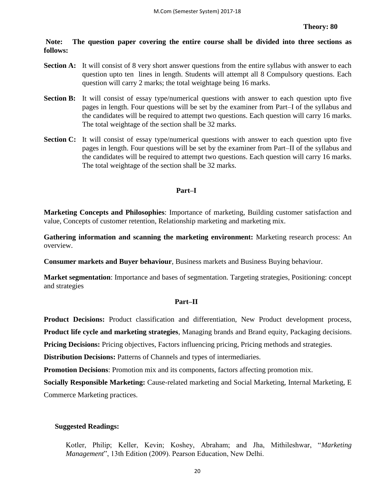**Note: The question paper covering the entire course shall be divided into three sections as follows:** 

- **Section A:** It will consist of 8 very short answer questions from the entire syllabus with answer to each question upto ten lines in length. Students will attempt all 8 Compulsory questions. Each question will carry 2 marks; the total weightage being 16 marks.
- **Section B:** It will consist of essay type/numerical questions with answer to each question upto five pages in length. Four questions will be set by the examiner from Part–I of the syllabus and the candidates will be required to attempt two questions. Each question will carry 16 marks. The total weightage of the section shall be 32 marks.
- **Section C:** It will consist of essay type/numerical questions with answer to each question upto five pages in length. Four questions will be set by the examiner from Part–II of the syllabus and the candidates will be required to attempt two questions. Each question will carry 16 marks. The total weightage of the section shall be 32 marks.

#### **Part–I**

**Marketing Concepts and Philosophies**: Importance of marketing, Building customer satisfaction and value, Concepts of customer retention, Relationship marketing and marketing mix.

**Gathering information and scanning the marketing environment:** Marketing research process: An overview.

**Consumer markets and Buyer behaviour**, Business markets and Business Buying behaviour.

**Market segmentation**: Importance and bases of segmentation. Targeting strategies, Positioning: concept and strategies

#### **Part–II**

**Product Decisions:** Product classification and differentiation, New Product development process,

**Product life cycle and marketing strategies**, Managing brands and Brand equity, Packaging decisions.

**Pricing Decisions:** Pricing objectives, Factors influencing pricing, Pricing methods and strategies.

**Distribution Decisions:** Patterns of Channels and types of intermediaries.

**Promotion Decisions**: Promotion mix and its components, factors affecting promotion mix.

**Socially Responsible Marketing:** Cause-related marketing and Social Marketing, Internal Marketing, E

Commerce Marketing practices.

#### **Suggested Readings:**

Kotler, Philip; Keller, Kevin; Koshey, Abraham; and Jha, Mithileshwar, "Marketing *Management*", 13th Edition (2009). Pearson Education, New Delhi.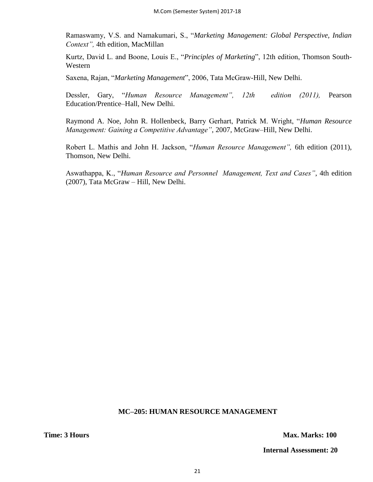Ramaswamy, V.S. and Namakumari, S., "Marketing Management: Global Perspective, Indian *Context",* 4th edition, MacMillan

Kurtz, David L. and Boone, Louis E., "Principles of Marketing", 12th edition, Thomson South-Western

Saxena, Rajan, "Marketing Management", 2006, Tata McGraw-Hill, New Delhi.

Dessler, Gary, "Human Resource Management", 12th edition (2011), Pearson Education/Prentice–Hall, New Delhi.

Raymond A. Noe, John R. Hollenbeck, Barry Gerhart, Patrick M. Wright, "Human Resource *Management: Gaining a Competitive Advantage"*, 2007, McGraw–Hill, New Delhi.

Robert L. Mathis and John H. Jackson, "Human Resource Management", 6th edition (2011), Thomson, New Delhi.

Aswathappa, K., "Human Resource and Personnel Management, Text and Cases", 4th edition (2007), Tata McGraw – Hill, New Delhi.

#### **MC–205: HUMAN RESOURCE MANAGEMENT**

**Time: 3 Hours Max. Marks: 100** 

 **Internal Assessment: 20**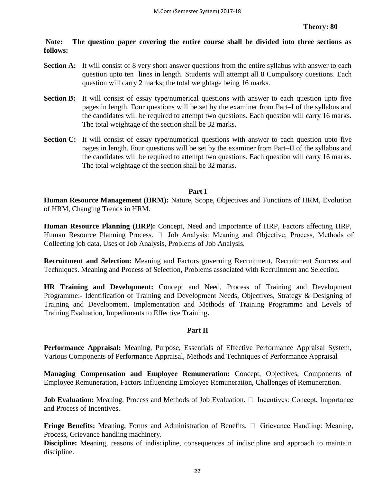**Note: The question paper covering the entire course shall be divided into three sections as follows:** 

- **Section A:** It will consist of 8 very short answer questions from the entire syllabus with answer to each question upto ten lines in length. Students will attempt all 8 Compulsory questions. Each question will carry 2 marks; the total weightage being 16 marks.
- **Section B:** It will consist of essay type/numerical questions with answer to each question upto five pages in length. Four questions will be set by the examiner from Part–I of the syllabus and the candidates will be required to attempt two questions. Each question will carry 16 marks. The total weightage of the section shall be 32 marks.
- **Section C:** It will consist of essay type/numerical questions with answer to each question upto five pages in length. Four questions will be set by the examiner from Part–II of the syllabus and the candidates will be required to attempt two questions. Each question will carry 16 marks. The total weightage of the section shall be 32 marks.

#### **Part I**

**Human Resource Management (HRM):** Nature, Scope, Objectives and Functions of HRM, Evolution of HRM, Changing Trends in HRM.

**Human Resource Planning (HRP):** Concept, Need and Importance of HRP, Factors affecting HRP, Human Resource Planning Process.  $\Box$  Job Analysis: Meaning and Objective, Process, Methods of Collecting job data, Uses of Job Analysis, Problems of Job Analysis.

**Recruitment and Selection:** Meaning and Factors governing Recruitment, Recruitment Sources and Techniques. Meaning and Process of Selection, Problems associated with Recruitment and Selection.

**HR Training and Development:** Concept and Need, Process of Training and Development Programme:- Identification of Training and Development Needs, Objectives, Strategy & Designing of Training and Development, Implementation and Methods of Training Programme and Levels of Training Evaluation, Impediments to Effective Training**.**

#### **Part II**

**Performance Appraisal:** Meaning, Purpose, Essentials of Effective Performance Appraisal System, Various Components of Performance Appraisal, Methods and Techniques of Performance Appraisal

**Managing Compensation and Employee Remuneration:** Concept, Objectives, Components of Employee Remuneration, Factors Influencing Employee Remuneration, Challenges of Remuneration.

**Job Evaluation:** Meaning, Process and Methods of Job Evaluation.  $\Box$  Incentives: Concept, Importance and Process of Incentives.

**Fringe Benefits:** Meaning, Forms and Administration of Benefits.  $\Box$  Grievance Handling: Meaning, Process, Grievance handling machinery.

**Discipline:** Meaning, reasons of indiscipline, consequences of indiscipline and approach to maintain discipline.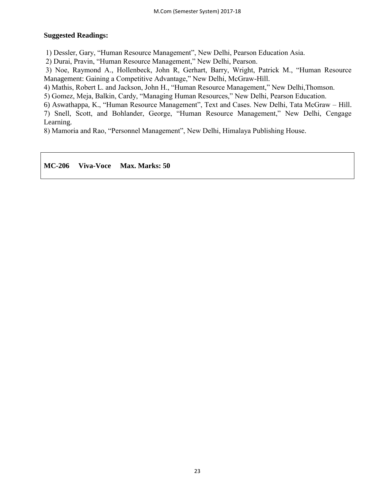#### **Suggested Readings:**

1) Dessler, Gary, "Human Resource Management", New Delhi, Pearson Education Asia.

2) Durai, Pravin, "Human Resource Management," New Delhi, Pearson.

3) Noe, Raymond A., Hollenbeck, John R, Gerhart, Barry, Wright, Patrick M., "Human Resource Management: Gaining a Competitive Advantage," New Delhi, McGraw-Hill.

4) Mathis, Robert L. and Jackson, John H., "Human Resource Management," New Delhi, Thomson.

5) Gomez, Meja, Balkin, Cardy, "Managing Human Resources," New Delhi, Pearson Education.

6) Aswathappa, K., "Human Resource Management", Text and Cases. New Delhi, Tata McGraw – Hill. 7) Snell, Scott, and Bohlander, George, "Human Resource Management," New Delhi, Cengage Learning.

8) Mamoria and Rao, "Personnel Management", New Delhi, Himalaya Publishing House.

#### **MC-206 Viva-Voce Max. Marks: 50**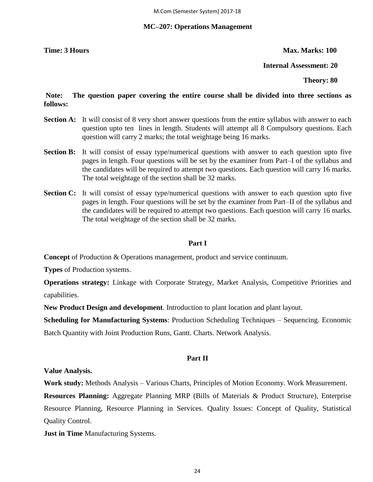#### **MC–207: Operations Management**

**Time: 3 Hours Max. Marks: 100** 

 **Internal Assessment: 20**

 **Theory: 80** 

### **Note: The question paper covering the entire course shall be divided into three sections as follows:**

- **Section A:** It will consist of 8 very short answer questions from the entire syllabus with answer to each question upto ten lines in length. Students will attempt all 8 Compulsory questions. Each question will carry 2 marks; the total weightage being 16 marks.
- **Section B:** It will consist of essay type/numerical questions with answer to each question upto five pages in length. Four questions will be set by the examiner from Part–I of the syllabus and the candidates will be required to attempt two questions. Each question will carry 16 marks. The total weightage of the section shall be 32 marks.
- **Section C:** It will consist of essay type/numerical questions with answer to each question upto five pages in length. Four questions will be set by the examiner from Part–II of the syllabus and the candidates will be required to attempt two questions. Each question will carry 16 marks. The total weightage of the section shall be 32 marks.

#### **Part I**

**Concept** of Production & Operations management, product and service continuum.

**Types** of Production systems.

**Operations strategy:** Linkage with Corporate Strategy, Market Analysis, Competitive Priorities and capabilities.

**New Product Design and development**. Introduction to plant location and plant layout.

**Scheduling for Manufacturing Systems**: Production Scheduling Techniques – Sequencing. Economic Batch Quantity with Joint Production Runs, Gantt. Charts. Network Analysis.

#### **Part II**

**Value Analysis.**

**Work study:** Methods Analysis – Various Charts, Principles of Motion Economy. Work Measurement.

**Resources Planning:** Aggregate Planning MRP (Bills of Materials & Product Structure), Enterprise Resource Planning, Resource Planning in Services. Quality Issues: Concept of Quality, Statistical Quality Control.

**Just in Time** Manufacturing Systems.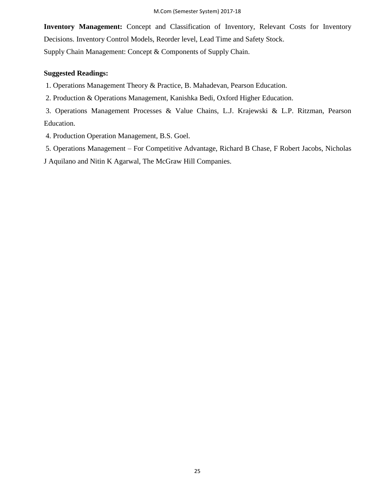**Inventory Management:** Concept and Classification of Inventory, Relevant Costs for Inventory Decisions. Inventory Control Models, Reorder level, Lead Time and Safety Stock. Supply Chain Management: Concept & Components of Supply Chain.

#### **Suggested Readings:**

1. Operations Management Theory & Practice, B. Mahadevan, Pearson Education.

2. Production & Operations Management, Kanishka Bedi, Oxford Higher Education.

3. Operations Management Processes & Value Chains, L.J. Krajewski & L.P. Ritzman, Pearson Education.

4. Production Operation Management, B.S. Goel.

5. Operations Management – For Competitive Advantage, Richard B Chase, F Robert Jacobs, Nicholas J Aquilano and Nitin K Agarwal, The McGraw Hill Companies.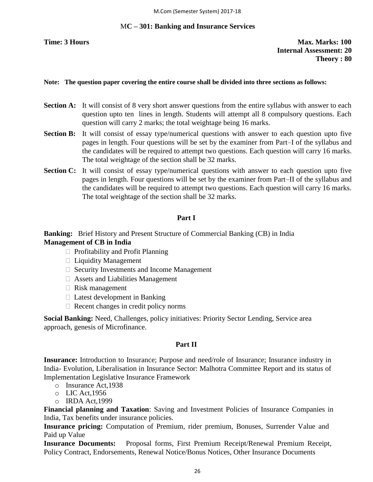#### M**C – 301: Banking and Insurance Services**

**Time: 3 Hours Max. Marks: 100 Internal Assessment: 20 Theory : 80**

#### **Note: The question paper covering the entire course shall be divided into three sections as follows:**

- **Section A:** It will consist of 8 very short answer questions from the entire syllabus with answer to each question upto ten lines in length. Students will attempt all 8 compulsory questions. Each question will carry 2 marks; the total weightage being 16 marks.
- **Section B:** It will consist of essay type/numerical questions with answer to each question upto five pages in length. Four questions will be set by the examiner from Part–I of the syllabus and the candidates will be required to attempt two questions. Each question will carry 16 marks. The total weightage of the section shall be 32 marks.
- **Section C:** It will consist of essay type/numerical questions with answer to each question upto five pages in length. Four questions will be set by the examiner from Part–II of the syllabus and the candidates will be required to attempt two questions. Each question will carry 16 marks. The total weightage of the section shall be 32 marks.

#### **Part I**

### **Banking:** Brief History and Present Structure of Commercial Banking (CB) in India **Management of CB in India**

- $\Box$  Profitability and Profit Planning
- $\Box$  Liquidity Management
- $\Box$  Security Investments and Income Management
- $\Box$  Assets and Liabilities Management
- $\Box$  Risk management
- $\Box$  Latest development in Banking
- $\Box$  Recent changes in credit policy norms

**Social Banking:** Need, Challenges, policy initiatives: Priority Sector Lending, Service area approach, genesis of Microfinance.

#### **Part II**

**Insurance:** Introduction to Insurance; Purpose and need/role of Insurance; Insurance industry in India- Evolution, Liberalisation in Insurance Sector: Malhotra Committee Report and its status of Implementation Legislative Insurance Framework

- o Insurance Act,1938
- o LIC Act,1956
- o IRDA Act,1999

**Financial planning and Taxation**: Saving and Investment Policies of Insurance Companies in India, Tax benefits under insurance policies.

**Insurance pricing:** Computation of Premium, rider premium, Bonuses, Surrender Value and Paid up Value

**Insurance Documents:** Proposal forms, First Premium Receipt/Renewal Premium Receipt, Policy Contract, Endorsements, Renewal Notice/Bonus Notices, Other Insurance Documents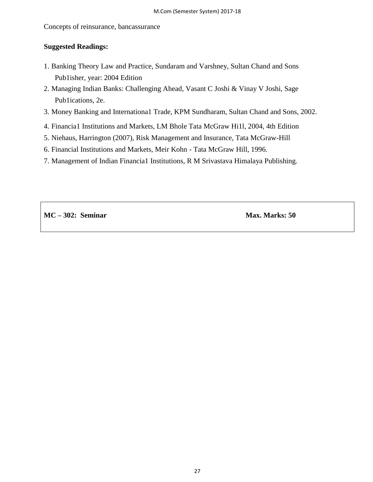Concepts of reinsurance, bancassurance

#### **Suggested Readings:**

- 1. Banking Theory Law and Practice, Sundaram and Varshney, Sultan Chand and Sons Pub1isher, year: 2004 Edition
- 2. Managing Indian Banks: Challenging Ahead, Vasant C Joshi & Vinay V Joshi, Sage Pub1ications, 2e.
- 3. Money Banking and Internationa1 Trade, KPM Sundharam, Sultan Chand and Sons, 2002.
- 4. Financia1 Institutions and Markets, LM Bhole Tata McGraw Hi1l, 2004, 4th Edition
- 5. Niehaus, Harrington (2007), Risk Management and Insurance, Tata McGraw-Hill
- 6. Financial Institutions and Markets, Meir Kohn Tata McGraw Hill, 1996.
- 7. Management of Indian Financia1 Institutions, R M Srivastava Himalaya Publishing.

**MC** – **302:** Seminar Max. Marks: 50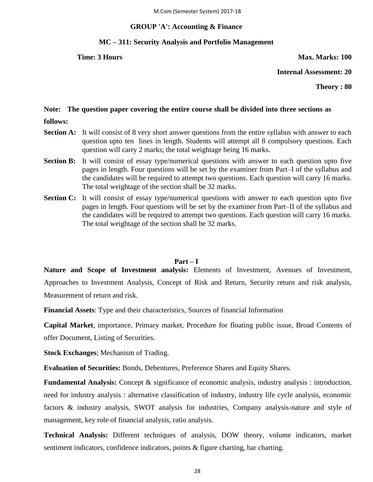### **GROUP 'A': Accounting & Finance**

#### **MC – 311: Security Analysis and Portfolio Management**

**Time: 3 Hours Max. Marks: 100** 

**Internal Assessment: 20**

**Theory : 80**

#### **Note: The question paper covering the entire course shall be divided into three sections as**

- **follows:**
- **Section A:** It will consist of 8 very short answer questions from the entire syllabus with answer to each question upto ten lines in length. Students will attempt all 8 compulsory questions. Each question will carry 2 marks; the total weightage being 16 marks.
- **Section B:** It will consist of essay type/numerical questions with answer to each question upto five pages in length. Four questions will be set by the examiner from Part–I of the syllabus and the candidates will be required to attempt two questions. Each question will carry 16 marks. The total weightage of the section shall be 32 marks.
- **Section C:** It will consist of essay type/numerical questions with answer to each question upto five pages in length. Four questions will be set by the examiner from Part–II of the syllabus and the candidates will be required to attempt two questions. Each question will carry 16 marks. The total weightage of the section shall be 32 marks.

#### **Part – I**

**Nature and Scope of Investment analysis:** Elements of Investment, Avenues of Investment, Approaches to Investment Analysis, Concept of Risk and Return, Security return and risk analysis, Measurement of return and risk.

**Financial Assets**: Type and their characteristics, Sources of financial Information

**Capital Market**, importance, Primary market, Procedure for floating public issue, Broad Contents of offer Document, Listing of Securities.

**Stock Exchanges**; Mechanism of Trading.

**Evaluation of Securities:** Bonds, Debentures, Preference Shares and Equity Shares.

**Fundamental Analysis:** Concept & significance of economic analysis, industry analysis : introduction, need for industry analysis : alternative classification of industry, industry life cycle analysis, economic factors & industry analysis, SWOT analysis for industries, Company analysis-nature and style of management, key role of financial analysis, ratio analysis.

**Technical Analysis:** Different techniques of analysis, DOW theory, volume indicators, market sentiment indicators, confidence indicators, points & figure charting, bar charting.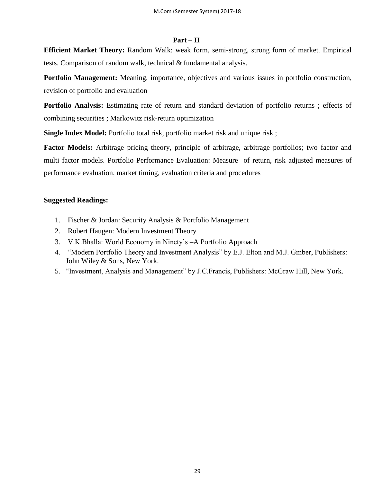#### **Part – II**

**Efficient Market Theory:** Random Walk: weak form, semi-strong, strong form of market. Empirical tests. Comparison of random walk, technical & fundamental analysis.

**Portfolio Management:** Meaning, importance, objectives and various issues in portfolio construction, revision of portfolio and evaluation

**Portfolio Analysis:** Estimating rate of return and standard deviation of portfolio returns ; effects of combining securities ; Markowitz risk-return optimization

**Single Index Model:** Portfolio total risk, portfolio market risk and unique risk;

**Factor Models:** Arbitrage pricing theory, principle of arbitrage, arbitrage portfolios; two factor and multi factor models. Portfolio Performance Evaluation: Measure of return, risk adjusted measures of performance evaluation, market timing, evaluation criteria and procedures

#### **Suggested Readings:**

- 1. Fischer & Jordan: Security Analysis & Portfolio Management
- 2. Robert Haugen: Modern Investment Theory
- 3. V.K.Bhalla: World Economy in Ninety's –A Portfolio Approach
- 4. "Modern Portfolio Theory and Investment Analysis" by E.J. Elton and M.J. Gmber, Publishers: John Wiley & Sons, New York.
- 5. "Investment, Analysis and Management" by J.C.Francis, Publishers: McGraw Hill, New York.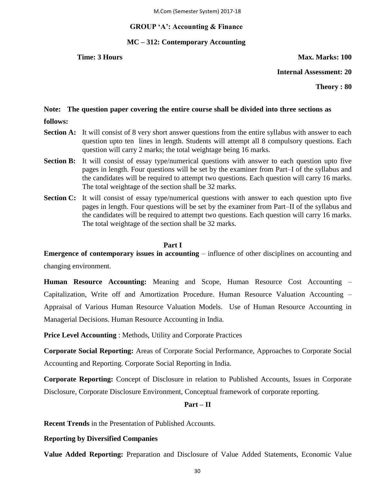#### **GROUP 'A': Accounting & Finance**

#### **MC – 312: Contemporary Accounting**

**Time: 3 Hours Max. Marks: 100** 

**Internal Assessment: 20**

**Theory : 80**

#### **Note: The question paper covering the entire course shall be divided into three sections as**

- **follows:**
- **Section A:** It will consist of 8 very short answer questions from the entire syllabus with answer to each question upto ten lines in length. Students will attempt all 8 compulsory questions. Each question will carry 2 marks; the total weightage being 16 marks.
- **Section B:** It will consist of essay type/numerical questions with answer to each question upto five pages in length. Four questions will be set by the examiner from Part–I of the syllabus and the candidates will be required to attempt two questions. Each question will carry 16 marks. The total weightage of the section shall be 32 marks.
- **Section C:** It will consist of essay type/numerical questions with answer to each question upto five pages in length. Four questions will be set by the examiner from Part–II of the syllabus and the candidates will be required to attempt two questions. Each question will carry 16 marks. The total weightage of the section shall be 32 marks.

#### **Part I**

**Emergence of contemporary issues in accounting** – influence of other disciplines on accounting and changing environment.

**Human Resource Accounting:** Meaning and Scope, Human Resource Cost Accounting – Capitalization, Write off and Amortization Procedure. Human Resource Valuation Accounting – Appraisal of Various Human Resource Valuation Models. Use of Human Resource Accounting in Managerial Decisions. Human Resource Accounting in India.

**Price Level Accounting** : Methods, Utility and Corporate Practices

**Corporate Social Reporting:** Areas of Corporate Social Performance, Approaches to Corporate Social Accounting and Reporting. Corporate Social Reporting in India.

**Corporate Reporting:** Concept of Disclosure in relation to Published Accounts, Issues in Corporate Disclosure, Corporate Disclosure Environment, Conceptual framework of corporate reporting.

#### **Part – II**

**Recent Trends** in the Presentation of Published Accounts.

#### **Reporting by Diversified Companies**

**Value Added Reporting:** Preparation and Disclosure of Value Added Statements, Economic Value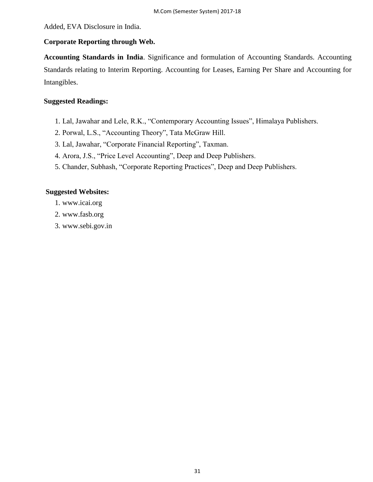Added, EVA Disclosure in India.

#### **Corporate Reporting through Web.**

**Accounting Standards in India**. Significance and formulation of Accounting Standards. Accounting Standards relating to Interim Reporting. Accounting for Leases, Earning Per Share and Accounting for Intangibles.

#### **Suggested Readings:**

- 1. Lal, Jawahar and Lele, R.K., "Contemporary Accounting Issues", Himalaya Publishers.
- 2. Porwal, L.S., "Accounting Theory", Tata McGraw Hill.
- 3. Lal, Jawahar, "Corporate Financial Reporting", Taxman.
- 4. Arora, J.S., "Price Level Accounting", Deep and Deep Publishers.
- 5. Chander, Subhash, "Corporate Reporting Practices", Deep and Deep Publishers.

#### **Suggested Websites:**

- 1. www.icai.org
- 2. www.fasb.org
- 3. www.sebi.gov.in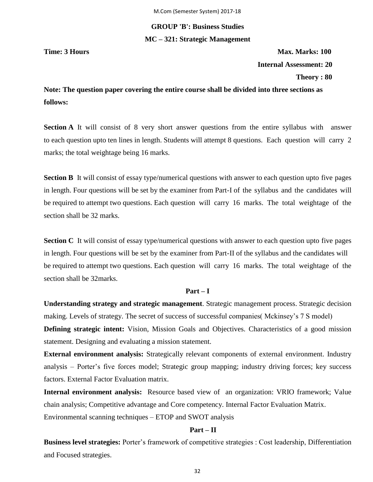# **GROUP 'B': Business Studies MC – 321: Strategic Management**

**Time: 3 Hours Max. Marks: 100 Internal Assessment: 20 Theory : 80**

**Note: The question paper covering the entire course shall be divided into three sections as follows:**

**Section A** It will consist of 8 very short answer questions from the entire syllabus with answer to each question upto ten lines in length. Students will attempt 8 questions. Each question will carry 2 marks; the total weightage being 16 marks.

**Section B** It will consist of essay type/numerical questions with answer to each question upto five pages in length. Four questions will be set by the examiner from Part-I of the syllabus and the candidates will be required to attempt two questions. Each question will carry 16 marks. The total weightage of the section shall be 32 marks.

**Section C** It will consist of essay type/numerical questions with answer to each question upto five pages in length. Four questions will be set by the examiner from Part-II of the syllabus and the candidates will be required to attempt two questions. Each question will carry 16 marks. The total weightage of the section shall be 32marks.

#### **Part – I**

**Understanding strategy and strategic management**. Strategic management process. Strategic decision making. Levels of strategy. The secret of success of successful companies( Mckinsey's 7 S model)

**Defining strategic intent:** Vision, Mission Goals and Objectives. Characteristics of a good mission statement. Designing and evaluating a mission statement.

**External environment analysis:** Strategically relevant components of external environment. Industry analysis – Porter's five forces model; Strategic group mapping; industry driving forces; key success factors. External Factor Evaluation matrix.

**Internal environment analysis:** Resource based view of an organization: VRIO framework; Value chain analysis; Competitive advantage and Core competency. Internal Factor Evaluation Matrix. Environmental scanning techniques – ETOP and SWOT analysis

#### **Part – II**

**Business level strategies:** Porter's framework of competitive strategies : Cost leadership, Differentiation and Focused strategies.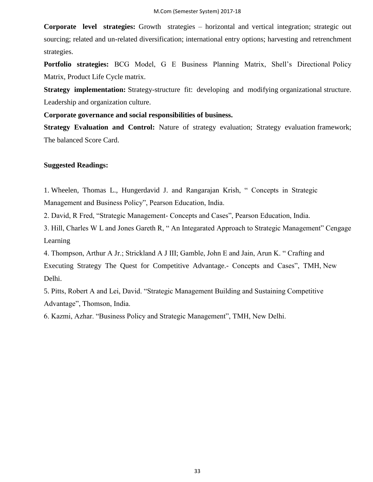**Corporate level strategies:** Growth strategies – horizontal and vertical integration; strategic out sourcing; related and un-related diversification; international entry options; harvesting and retrenchment strategies.

**Portfolio strategies:** BCG Model, G E Business Planning Matrix, Shell's Directional Policy Matrix, Product Life Cycle matrix.

**Strategy implementation:** Strategy-structure fit: developing and modifying organizational structure. Leadership and organization culture.

**Corporate governance and social responsibilities of business.**

**Strategy Evaluation and Control:** Nature of strategy evaluation; Strategy evaluation framework; The balanced Score Card.

#### **Suggested Readings:**

Delhi.

1. Wheelen, Thomas L., Hungerdavid J. and Rangarajan Krish, "Concepts in Strategic Management and Business Policy", Pearson Education, India.

2. David, R Fred, "Strategic Management- Concepts and Cases", Pearson Education, India.

3. Hill, Charles W L and Jones Gareth R, "An Integarated Approach to Strategic Management" Cengage Learning

4. Thompson, Arthur A Jr.; Strickland A J III; Gamble, John E and Jain, Arun K. "Crafting and Executing Strategy The Quest for Competitive Advantage.- Concepts and Cases", TMH, New

5. Pitts, Robert A and Lei, David. "Strategic Management Building and Sustaining Competitive Advantage", Thomson, India.

6. Kazmi, Azhar. "Business Policy and Strategic Management", TMH, New Delhi.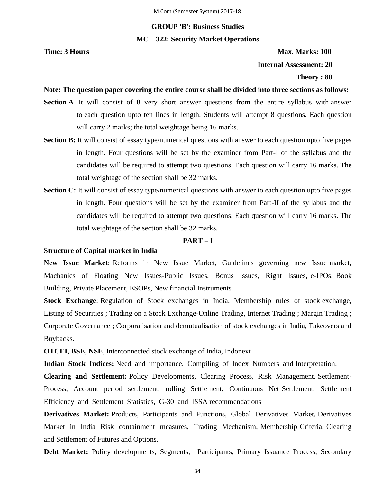# **GROUP 'B': Business Studies MC – 322: Security Market Operations**

**Time: 3 Hours Max. Marks: 100 Internal Assessment: 20 Theory : 80**

#### **Note: The question paper covering the entire course shall be divided into three sections as follows:**

- **Section A** It will consist of 8 very short answer questions from the entire syllabus with answer to each question upto ten lines in length. Students will attempt 8 questions. Each question will carry 2 marks; the total weightage being 16 marks.
- **Section B:** It will consist of essay type/numerical questions with answer to each question upto five pages in length. Four questions will be set by the examiner from Part-I of the syllabus and the candidates will be required to attempt two questions. Each question will carry 16 marks. The total weightage of the section shall be 32 marks.
- **Section C:** It will consist of essay type/numerical questions with answer to each question upto five pages in length. Four questions will be set by the examiner from Part-II of the syllabus and the candidates will be required to attempt two questions. Each question will carry 16 marks. The total weightage of the section shall be 32 marks.

#### **PART – I**

#### **Structure of Capital market in India**

**New Issue Market**: Reforms in New Issue Market, Guidelines governing new Issue market, Machanics of Floating New Issues-Public Issues, Bonus Issues, Right Issues, e-IPOs, Book Building, Private Placement, ESOPs, New financial Instruments

**Stock Exchange**: Regulation of Stock exchanges in India, Membership rules of stock exchange, Listing of Securities ; Trading on a Stock Exchange-Online Trading, Internet Trading ; Margin Trading ; Corporate Governance ; Corporatisation and demutualisation of stock exchanges in India, Takeovers and Buybacks.

**OTCEI, BSE, NSE**, Interconnected stock exchange of India, Indonext

**Indian Stock Indices:** Need and importance, Compiling of Index Numbers and Interpretation.

**Clearing and Settlement:** Policy Developments, Clearing Process, Risk Management, Settlement-Process, Account period settlement, rolling Settlement, Continuous Net Settlement, Settlement Efficiency and Settlement Statistics, G-30 and ISSA recommendations

**Derivatives Market:** Products, Participants and Functions, Global Derivatives Market, Derivatives Market in India Risk containment measures, Trading Mechanism, Membership Criteria, Clearing and Settlement of Futures and Options,

**Debt Market:** Policy developments, Segments, Participants, Primary Issuance Process, Secondary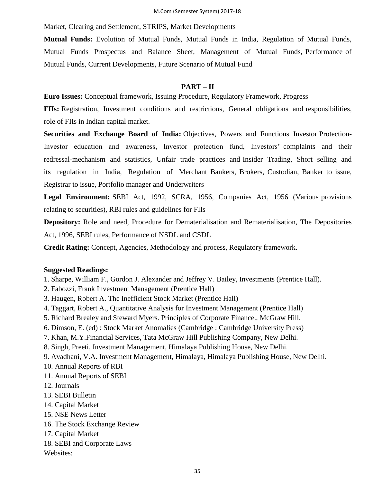Market, Clearing and Settlement, STRIPS, Market Developments

**Mutual Funds:** Evolution of Mutual Funds, Mutual Funds in India, Regulation of Mutual Funds, Mutual Funds Prospectus and Balance Sheet, Management of Mutual Funds, Performance of Mutual Funds, Current Developments, Future Scenario of Mutual Fund

#### **PART – II**

**Euro Issues:** Conceptual framework, Issuing Procedure, Regulatory Framework, Progress

**FIIs:** Registration, Investment conditions and restrictions, General obligations and responsibilities, role of FIIs in Indian capital market.

**Securities and Exchange Board of India:** Objectives, Powers and Functions Investor Protection-Investor education and awareness, Investor protection fund, Investors' complaints and their redressal-mechanism and statistics, Unfair trade practices and Insider Trading, Short selling and its regulation in India, Regulation of Merchant Bankers, Brokers, Custodian, Banker to issue, Registrar to issue, Portfolio manager and Underwriters

**Legal Environment:** SEBI Act, 1992, SCRA, 1956, Companies Act, 1956 (Various provisions relating to securities), RBI rules and guidelines for FIIs

**Depository:** Role and need, Procedure for Dematerialisation and Rematerialisation, The Depositories Act, 1996, SEBI rules, Performance of NSDL and CSDL

**Credit Rating:** Concept, Agencies, Methodology and process, Regulatory framework.

#### **Suggested Readings:**

- 1. Sharpe, William F., Gordon J. Alexander and Jeffrey V. Bailey, Investments (Prentice Hall).
- 2. Fabozzi, Frank Investment Management (Prentice Hall)
- 3. Haugen, Robert A. The Inefficient Stock Market (Prentice Hall)
- 4. Taggart, Robert A., Quantitative Analysis for Investment Management (Prentice Hall)
- 5. Richard Brealey and Steward Myers. Principles of Corporate Finance., McGraw Hill.
- 6. Dimson, E. (ed) : Stock Market Anomalies (Cambridge : Cambridge University Press)
- 7. Khan, M.Y.Financial Services, Tata McGraw Hill Publishing Company, New Delhi.
- 8. Singh, Preeti, Investment Management, Himalaya Publishing House, New Delhi.
- 9. Avadhani, V.A. Investment Management, Himalaya, Himalaya Publishing House, New Delhi.

10. Annual Reports of RBI

- 11. Annual Reports of SEBI
- 12. Journals
- 13. SEBI Bulletin
- 14. Capital Market
- 15. NSE News Letter
- 16. The Stock Exchange Review
- 17. Capital Market
- 18. SEBI and Corporate Laws

Websites: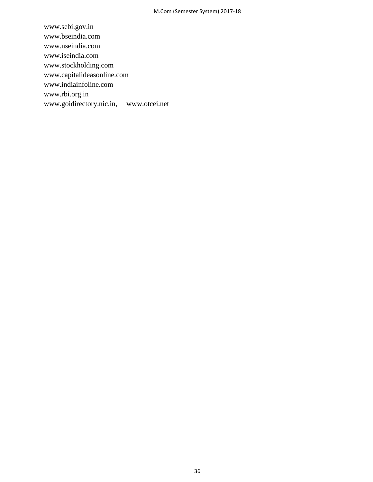www.sebi.gov.in www.bseindia.com www.nseindia.com www.iseindia.com www.stockholding.com www.capitalideasonline.com www.indiainfoline.com www.rbi.org.in www.goidirectory.nic.in, www.otcei.net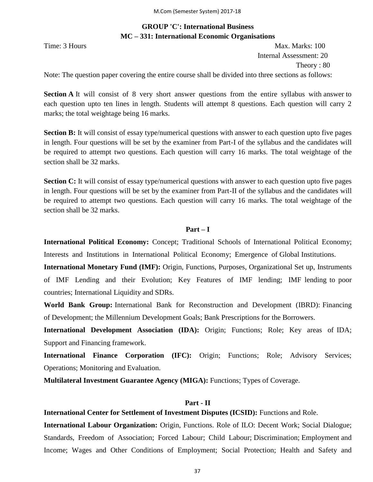# **GROUP 'C': International Business MC – 331: International Economic Organisations**

Time: 3 Hours Max. Marks: 100 Internal Assessment: 20 Theory : 80

Note: The question paper covering the entire course shall be divided into three sections as follows:

**Section A** It will consist of 8 very short answer questions from the entire syllabus with answer to each question upto ten lines in length. Students will attempt 8 questions. Each question will carry 2 marks; the total weightage being 16 marks.

**Section B:** It will consist of essay type/numerical questions with answer to each question upto five pages in length. Four questions will be set by the examiner from Part-I of the syllabus and the candidates will be required to attempt two questions. Each question will carry 16 marks. The total weightage of the section shall be 32 marks.

**Section C:** It will consist of essay type/numerical questions with answer to each question upto five pages in length. Four questions will be set by the examiner from Part-II of the syllabus and the candidates will be required to attempt two questions. Each question will carry 16 marks. The total weightage of the section shall be 32 marks.

# **Part – I**

**International Political Economy:** Concept; Traditional Schools of International Political Economy; Interests and Institutions in International Political Economy; Emergence of Global Institutions.

**International Monetary Fund (IMF):** Origin, Functions, Purposes, Organizational Set up, Instruments of IMF Lending and their Evolution; Key Features of IMF lending; IMF lending to poor countries; International Liquidity and SDRs.

**World Bank Group:** International Bank for Reconstruction and Development (IBRD): Financing of Development; the Millennium Development Goals; Bank Prescriptions for the Borrowers.

**International Development Association (IDA):** Origin; Functions; Role; Key areas of IDA; Support and Financing framework.

**International Finance Corporation (IFC):** Origin; Functions; Role; Advisory Services; Operations; Monitoring and Evaluation.

**Multilateral Investment Guarantee Agency (MIGA):** Functions; Types of Coverage.

# **Part - II**

**International Center for Settlement of Investment Disputes (ICSID):** Functions and Role.

**International Labour Organization:** Origin, Functions. Role of ILO: Decent Work; Social Dialogue; Standards, Freedom of Association; Forced Labour; Child Labour; Discrimination; Employment and Income; Wages and Other Conditions of Employment; Social Protection; Health and Safety and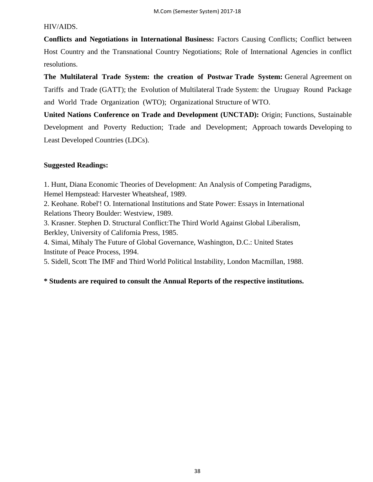# HIV/AIDS.

**Conflicts and Negotiations in International Business:** Factors Causing Conflicts; Conflict between Host Country and the Transnational Country Negotiations; Role of International Agencies in conflict resolutions.

**The Multilateral Trade System: the creation of Postwar Trade System:** General Agreement on Tariffs and Trade (GATT); the Evolution of Multilateral Trade System: the Uruguay Round Package and World Trade Organization (WTO); Organizational Structure of WTO.

**United Nations Conference on Trade and Development (UNCTAD):** Origin; Functions, Sustainable Development and Poverty Reduction; Trade and Development; Approach towards Developing to Least Developed Countries (LDCs).

# **Suggested Readings:**

1. Hunt, Diana Economic Theories of Development: An Analysis of Competing Paradigms, Hemel Hempstead: Harvester Wheatsheaf, 1989.

2. Keohane. Robel'! O. International Institutions and State Power: Essays in International Relations Theory Boulder: Westview, 1989.

3. Krasner. Stephen D. Structural Conflict:The Third World Against Global Liberalism, Berkley, University of California Press, 1985.

4. Simai, Mihaly The Future of Global Governance, Washington, D.C.: United States Institute of Peace Process, 1994.

5. Sidell, Scott The IMF and Third World Political Instability, London Macmillan, 1988.

# **\* Students are required to consult the Annual Reports of the respective institutions.**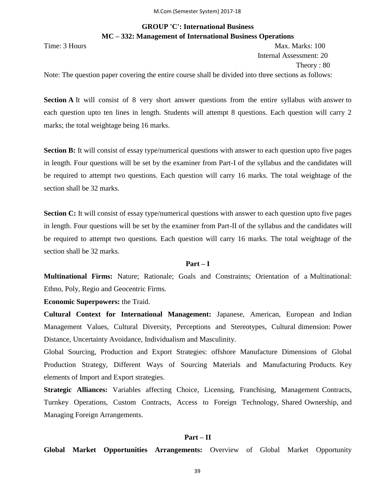# **GROUP 'C': International Business MC – 332: Management of International Business Operations**

Time: 3 Hours Max. Marks: 100 Internal Assessment: 20 Theory : 80

Note: The question paper covering the entire course shall be divided into three sections as follows:

Section A<sub>I</sub> It will consist of 8 very short answer questions from the entire syllabus with answer to each question upto ten lines in length. Students will attempt 8 questions. Each question will carry 2 marks; the total weightage being 16 marks.

**Section B:** It will consist of essay type/numerical questions with answer to each question upto five pages in length. Four questions will be set by the examiner from Part-I of the syllabus and the candidates will be required to attempt two questions. Each question will carry 16 marks. The total weightage of the section shall be 32 marks.

**Section C:** It will consist of essay type/numerical questions with answer to each question upto five pages in length. Four questions will be set by the examiner from Part-II of the syllabus and the candidates will be required to attempt two questions. Each question will carry 16 marks. The total weightage of the section shall be 32 marks.

### **Part – I**

**Multinational Firms:** Nature; Rationale; Goals and Constraints; Orientation of a Multinational: Ethno, Poly, Regio and Geocentric Firms.

**Economic Superpowers:** the Traid.

**Cultural Context for International Management:** Japanese, American, European and Indian Management Values, Cultural Diversity, Perceptions and Stereotypes, Cultural dimension: Power Distance, Uncertainty Avoidance, Individualism and Masculinity.

Global Sourcing, Production and Export Strategies: offshore Manufacture Dimensions of Global Production Strategy, Different Ways of Sourcing Materials and Manufacturing Products. Key elements of Import and Export strategies.

**Strategic Alliances:** Variables affecting Choice, Licensing, Franchising, Management Contracts, Turnkey Operations, Custom Contracts, Access to Foreign Technology, Shared Ownership, and Managing Foreign Arrangements.

### **Part – II**

**Global Market Opportunities Arrangements:** Overview of Global Market Opportunity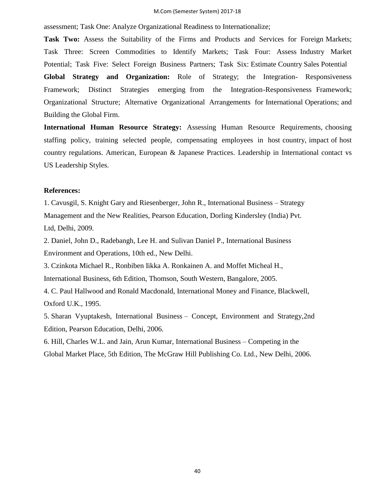### M.Com (Semester System) 2017-18

assessment; Task One: Analyze Organizational Readiness to Internationalize;

**Task Two:** Assess the Suitability of the Firms and Products and Services for Foreign Markets; Task Three: Screen Commodities to Identify Markets; Task Four: Assess Industry Market Potential; Task Five: Select Foreign Business Partners; Task Six: Estimate Country Sales Potential **Global Strategy and Organization:** Role of Strategy; the Integration- Responsiveness Framework; Distinct Strategies emerging from the Integration-Responsiveness Framework; Organizational Structure; Alternative Organizational Arrangements for International Operations; and Building the Global Firm.

**International Human Resource Strategy:** Assessing Human Resource Requirements, choosing staffing policy, training selected people, compensating employees in host country, impact of host country regulations. American, European & Japanese Practices. Leadership in International contact vs US Leadership Styles.

## **References:**

1. Cavusgil, S. Knight Gary and Riesenberger, John R., International Business – Strategy Management and the New Realities, Pearson Education, Dorling Kindersley (India) Pvt. Ltd, Delhi, 2009.

2. Daniel, John D., Radebangh, Lee H. and Sulivan Daniel P., International Business Environment and Operations, 10th ed., New Delhi.

3. Czinkota Michael R., Ronbiben Iikka A. Ronkainen A. and Moffet Micheal H., International Business, 6th Edition, Thomson, South Western, Bangalore, 2005.

4. C. Paul Hallwood and Ronald Macdonald, International Money and Finance, Blackwell, Oxford U.K., 1995.

5. Sharan Vyuptakesh, International Business – Concept, Environment and Strategy,2nd Edition, Pearson Education, Delhi, 2006.

6. Hill, Charles W.L. and Jain, Arun Kumar, International Business – Competing in the Global Market Place, 5th Edition, The McGraw Hill Publishing Co. Ltd., New Delhi, 2006.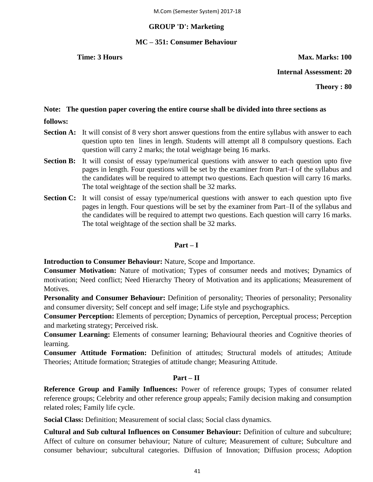## **GROUP 'D': Marketing**

## **MC – 351: Consumer Behaviour**

**Time: 3 Hours Max. Marks: 100** 

**Internal Assessment: 20**

**Theory : 80**

## **Note: The question paper covering the entire course shall be divided into three sections as**

- **follows:**
- **Section A:** It will consist of 8 very short answer questions from the entire syllabus with answer to each question upto ten lines in length. Students will attempt all 8 compulsory questions. Each question will carry 2 marks; the total weightage being 16 marks.
- **Section B:** It will consist of essay type/numerical questions with answer to each question upto five pages in length. Four questions will be set by the examiner from Part–I of the syllabus and the candidates will be required to attempt two questions. Each question will carry 16 marks. The total weightage of the section shall be 32 marks.
- **Section C:** It will consist of essay type/numerical questions with answer to each question upto five pages in length. Four questions will be set by the examiner from Part–II of the syllabus and the candidates will be required to attempt two questions. Each question will carry 16 marks. The total weightage of the section shall be 32 marks.

# **Part – I**

**Introduction to Consumer Behaviour:** Nature, Scope and Importance.

**Consumer Motivation:** Nature of motivation; Types of consumer needs and motives; Dynamics of motivation; Need conflict; Need Hierarchy Theory of Motivation and its applications; Measurement of Motives.

**Personality and Consumer Behaviour:** Definition of personality; Theories of personality; Personality and consumer diversity; Self concept and self image; Life style and psychographics.

**Consumer Perception:** Elements of perception; Dynamics of perception, Perceptual process; Perception and marketing strategy; Perceived risk.

**Consumer Learning:** Elements of consumer learning; Behavioural theories and Cognitive theories of learning.

**Consumer Attitude Formation:** Definition of attitudes; Structural models of attitudes; Attitude Theories; Attitude formation; Strategies of attitude change; Measuring Attitude.

# **Part – II**

**Reference Group and Family Influences:** Power of reference groups; Types of consumer related reference groups; Celebrity and other reference group appeals; Family decision making and consumption related roles; Family life cycle.

**Social Class:** Definition; Measurement of social class; Social class dynamics.

**Cultural and Sub cultural Influences on Consumer Behaviour:** Definition of culture and subculture; Affect of culture on consumer behaviour; Nature of culture; Measurement of culture; Subculture and consumer behaviour; subcultural categories. Diffusion of Innovation; Diffusion process; Adoption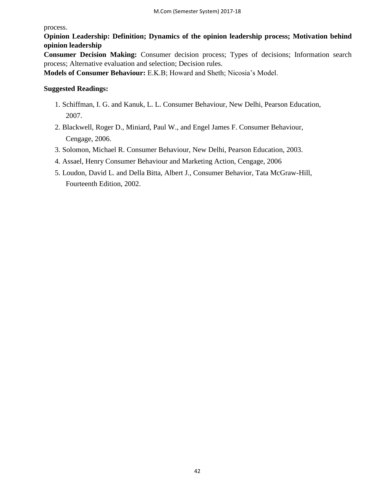process.

**Opinion Leadership: Definition; Dynamics of the opinion leadership process; Motivation behind opinion leadership** 

**Consumer Decision Making:** Consumer decision process; Types of decisions; Information search process; Alternative evaluation and selection; Decision rules.

**Models of Consumer Behaviour:** E.K.B; Howard and Sheth; Nicosia's Model.

# **Suggested Readings:**

- 1. Schiffman, I. G. and Kanuk, L. L. Consumer Behaviour, New Delhi, Pearson Education, 2007.
- 2. Blackwell, Roger D., Miniard, Paul W., and Engel James F. Consumer Behaviour, Cengage, 2006.
- 3. Solomon, Michael R. Consumer Behaviour, New Delhi, Pearson Education, 2003.
- 4. Assael, Henry Consumer Behaviour and Marketing Action, Cengage, 2006
- 5. Loudon, David L. and Della Bitta, Albert J., Consumer Behavior, Tata McGraw-Hill, Fourteenth Edition, 2002.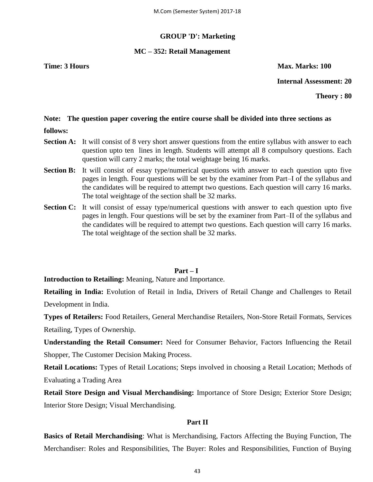## **GROUP 'D': Marketing**

## **MC – 352: Retail Management**

# **Time: 3 Hours Max. Marks: 100**

# **Internal Assessment: 20**

**Theory : 80**

## **Note: The question paper covering the entire course shall be divided into three sections as**

- **follows:**
- **Section A:** It will consist of 8 very short answer questions from the entire syllabus with answer to each question upto ten lines in length. Students will attempt all 8 compulsory questions. Each question will carry 2 marks; the total weightage being 16 marks.
- **Section B:** It will consist of essay type/numerical questions with answer to each question upto five pages in length. Four questions will be set by the examiner from Part–I of the syllabus and the candidates will be required to attempt two questions. Each question will carry 16 marks. The total weightage of the section shall be 32 marks.
- **Section C:** It will consist of essay type/numerical questions with answer to each question upto five pages in length. Four questions will be set by the examiner from Part–II of the syllabus and the candidates will be required to attempt two questions. Each question will carry 16 marks. The total weightage of the section shall be 32 marks.

# **Part – I**

**Introduction to Retailing:** Meaning, Nature and Importance.

**Retailing in India:** Evolution of Retail in India, Drivers of Retail Change and Challenges to Retail Development in India.

**Types of Retailers:** Food Retailers, General Merchandise Retailers, Non-Store Retail Formats, Services Retailing, Types of Ownership.

**Understanding the Retail Consumer:** Need for Consumer Behavior, Factors Influencing the Retail Shopper, The Customer Decision Making Process.

**Retail Locations:** Types of Retail Locations; Steps involved in choosing a Retail Location; Methods of Evaluating a Trading Area

**Retail Store Design and Visual Merchandising:** Importance of Store Design; Exterior Store Design; Interior Store Design; Visual Merchandising.

# **Part II**

**Basics of Retail Merchandising**: What is Merchandising, Factors Affecting the Buying Function, The Merchandiser: Roles and Responsibilities, The Buyer: Roles and Responsibilities, Function of Buying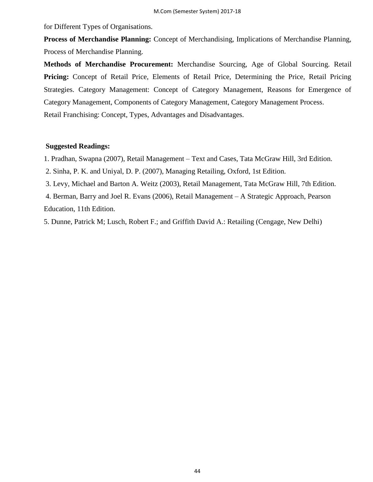for Different Types of Organisations.

**Process of Merchandise Planning:** Concept of Merchandising, Implications of Merchandise Planning, Process of Merchandise Planning.

**Methods of Merchandise Procurement:** Merchandise Sourcing, Age of Global Sourcing. Retail **Pricing:** Concept of Retail Price, Elements of Retail Price, Determining the Price, Retail Pricing Strategies. Category Management: Concept of Category Management, Reasons for Emergence of Category Management, Components of Category Management, Category Management Process.

Retail Franchising: Concept, Types, Advantages and Disadvantages.

## **Suggested Readings:**

1. Pradhan, Swapna (2007), Retail Management – Text and Cases, Tata McGraw Hill, 3rd Edition.

2. Sinha, P. K. and Uniyal, D. P. (2007), Managing Retailing, Oxford, 1st Edition.

3. Levy, Michael and Barton A. Weitz (2003), Retail Management, Tata McGraw Hill, 7th Edition.

4. Berman, Barry and Joel R. Evans (2006), Retail Management – A Strategic Approach, Pearson Education, 11th Edition.

5. Dunne, Patrick M; Lusch, Robert F.; and Griffith David A.: Retailing (Cengage, New Delhi)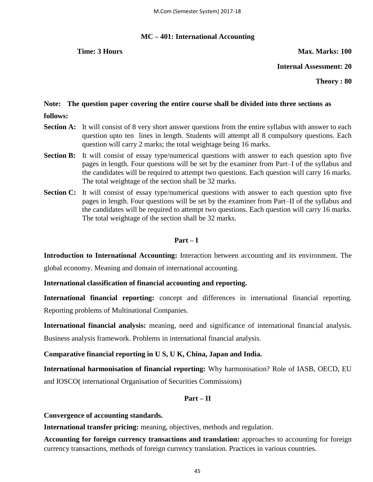# **MC – 401: International Accounting**

**Time: 3 Hours Max. Marks: 100** 

**Internal Assessment: 20**

**Theory : 80**

# **Note: The question paper covering the entire course shall be divided into three sections as follows:**

- **Section A:** It will consist of 8 very short answer questions from the entire syllabus with answer to each question upto ten lines in length. Students will attempt all 8 compulsory questions. Each question will carry 2 marks; the total weightage being 16 marks.
- **Section B:** It will consist of essay type/numerical questions with answer to each question upto five pages in length. Four questions will be set by the examiner from Part–I of the syllabus and the candidates will be required to attempt two questions. Each question will carry 16 marks. The total weightage of the section shall be 32 marks.
- **Section C:** It will consist of essay type/numerical questions with answer to each question upto five pages in length. Four questions will be set by the examiner from Part–II of the syllabus and the candidates will be required to attempt two questions. Each question will carry 16 marks. The total weightage of the section shall be 32 marks.

# **Part – I**

**Introduction to International Accounting:** Interaction between accounting and its environment. The global economy. Meaning and domain of international accounting.

# **International classification of financial accounting and reporting.**

**International financial reporting:** concept and differences in international financial reporting. Reporting problems of Multinational Companies.

**International financial analysis:** meaning, need and significance of international financial analysis. Business analysis framework. Problems in international financial analysis.

# **Comparative financial reporting in U S, U K, China, Japan and India.**

**International harmonisation of financial reporting:** Why harmonisation? Role of IASB, OECD, EU and IOSCO( international Organisation of Securities Commissions)

# **Part – II**

# **Convergence of accounting standards.**

**International transfer pricing:** meaning, objectives, methods and regulation.

**Accounting for foreign currency transactions and translation:** approaches to accounting for foreign currency transactions, methods of foreign currency translation. Practices in various countries.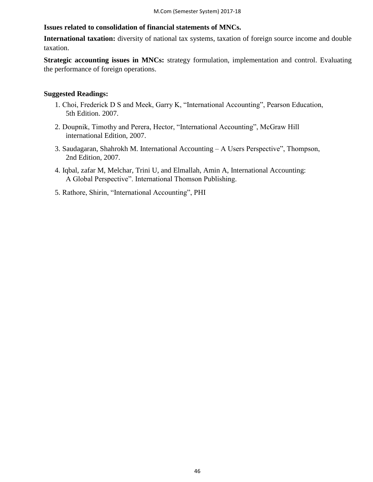## **Issues related to consolidation of financial statements of MNCs.**

**International taxation:** diversity of national tax systems, taxation of foreign source income and double taxation.

**Strategic accounting issues in MNCs:** strategy formulation, implementation and control. Evaluating the performance of foreign operations.

## **Suggested Readings:**

- 1. Choi, Frederick D S and Meek, Garry K, "International Accounting", Pearson Education, 5th Edition. 2007.
- 2. Doupnik, Timothy and Perera, Hector, "International Accounting", McGraw Hill international Edition, 2007.
- 3. Saudagaran, Shahrokh M. International Accounting A Users Perspective", Thompson, 2nd Edition, 2007.
- 4. Iqbal, zafar M, Melchar, Trini U, and Elmallah, Amin A, International Accounting: A Global Perspective". International Thomson Publishing.
- 5. Rathore, Shirin, "International Accounting", PHI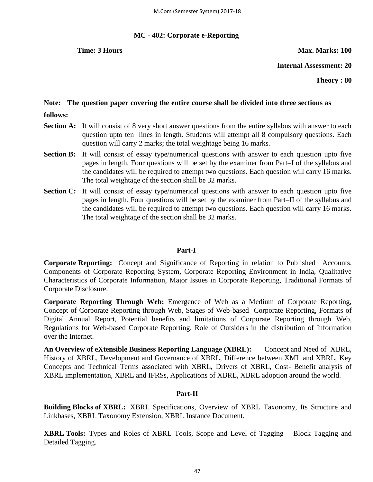## **MC - 402: Corporate e-Reporting**

**Time: 3 Hours Max. Marks: 100** 

**Internal Assessment: 20**

**Theory : 80**

# **Note: The question paper covering the entire course shall be divided into three sections as**

- **follows:**
- **Section A:** It will consist of 8 very short answer questions from the entire syllabus with answer to each question upto ten lines in length. Students will attempt all 8 compulsory questions. Each question will carry 2 marks; the total weightage being 16 marks.
- **Section B:** It will consist of essay type/numerical questions with answer to each question upto five pages in length. Four questions will be set by the examiner from Part–I of the syllabus and the candidates will be required to attempt two questions. Each question will carry 16 marks. The total weightage of the section shall be 32 marks.
- **Section C:** It will consist of essay type/numerical questions with answer to each question upto five pages in length. Four questions will be set by the examiner from Part–II of the syllabus and the candidates will be required to attempt two questions. Each question will carry 16 marks. The total weightage of the section shall be 32 marks.

# **Part-I**

**Corporate Reporting:** Concept and Significance of Reporting in relation to Published Accounts, Components of Corporate Reporting System, Corporate Reporting Environment in India, Qualitative Characteristics of Corporate Information, Major Issues in Corporate Reporting, Traditional Formats of Corporate Disclosure.

**Corporate Reporting Through Web:** Emergence of Web as a Medium of Corporate Reporting, Concept of Corporate Reporting through Web, Stages of Web-based Corporate Reporting, Formats of Digital Annual Report, Potential benefits and limitations of Corporate Reporting through Web, Regulations for Web-based Corporate Reporting, Role of Outsiders in the distribution of Information over the Internet.

**An Overview of eXtensible Business Reporting Language (XBRL):** Concept and Need of XBRL, History of XBRL, Development and Governance of XBRL, Difference between XML and XBRL, Key Concepts and Technical Terms associated with XBRL, Drivers of XBRL, Cost- Benefit analysis of XBRL implementation, XBRL and IFRSs, Applications of XBRL, XBRL adoption around the world.

# **Part-II**

**Building Blocks of XBRL:** XBRL Specifications, Overview of XBRL Taxonomy, Its Structure and Linkbases, XBRL Taxonomy Extension, XBRL Instance Document.

**XBRL Tools:** Types and Roles of XBRL Tools, Scope and Level of Tagging – Block Tagging and Detailed Tagging.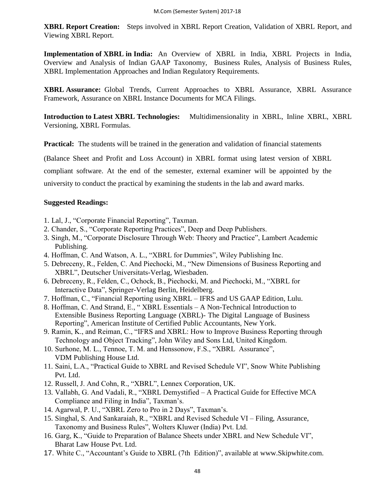**XBRL Report Creation:** Steps involved in XBRL Report Creation, Validation of XBRL Report, and Viewing XBRL Report.

**Implementation of XBRL in India:** An Overview of XBRL in India, XBRL Projects in India, Overview and Analysis of Indian GAAP Taxonomy, Business Rules, Analysis of Business Rules, XBRL Implementation Approaches and Indian Regulatory Requirements.

**XBRL Assurance:** Global Trends, Current Approaches to XBRL Assurance, XBRL Assurance Framework, Assurance on XBRL Instance Documents for MCA Filings.

**Introduction to Latest XBRL Technologies:** Multidimensionality in XBRL, Inline XBRL, XBRL Versioning, XBRL Formulas.

**Practical:** The students will be trained in the generation and validation of financial statements

(Balance Sheet and Profit and Loss Account) in XBRL format using latest version of XBRL

compliant software. At the end of the semester, external examiner will be appointed by the

university to conduct the practical by examining the students in the lab and award marks.

## **Suggested Readings:**

- 1. Lal, J., "Corporate Financial Reporting", Taxman.
- 2. Chander, S., "Corporate Reporting Practices", Deep and Deep Publishers.
- 3. Singh, M., "Corporate Disclosure Through Web: Theory and Practice", Lambert Academic Publishing.
- 4. Hoffman, C. And Watson, A. L., "XBRL for Dummies", Wiley Publishing Inc.
- 5. Debreceny, R., Felden, C. And Piechocki, M., "New Dimensions of Business Reporting and XBRL", Deutscher Universitats-Verlag, Wiesbaden.
- 6. Debreceny, R., Felden, C., Ochock, B., Piechocki, M. and Piechocki, M., "XBRL for Interactive Data", Springer-Verlag Berlin, Heidelberg.
- 7. Hoffman, C., "Financial Reporting using XBRL IFRS and US GAAP Edition, Lulu.
- 8. Hoffman, C. And Strand, E., "XBRL Essentials A Non-Technical Introduction to Extensible Business Reporting Language (XBRL)- The Digital Language of Business Reporting", American Institute of Certified Public Accountants, New York.
- 9. Ramin, K., and Reiman, C., "IFRS and XBRL: How to Improve Business Reporting through Technology and Object Tracking", John Wiley and Sons Ltd, United Kingdom.
- 10. Surhone, M. L., Tennoe, T. M. and Henssonow, F.S., "XBRL Assurance", VDM Publishing House Ltd.
- 11. Saini, L.A., "Practical Guide to XBRL and Revised Schedule VI", Snow White Publishing Pvt. Ltd.
- 12. Russell, J. And Cohn, R., "XBRL", Lennex Corporation, UK.
- 13. Vallabh, G. And Vadali, R., "XBRL Demystified A Practical Guide for Effective MCA Compliance and Filing in India", Taxman's.
- 14. Agarwal, P. U., "XBRL Zero to Pro in 2 Days", Taxman's.
- 15. Singhal, S. And Sankaraiah, R., "XBRL and Revised Schedule VI Filing, Assurance, Taxonomy and Business Rules", Wolters Kluwer (India) Pvt. Ltd.
- 16. Garg, K., "Guide to Preparation of Balance Sheets under XBRL and New Schedule VI", Bharat Law House Pvt. Ltd.
- 17. White C., "Accountant's Guide to XBRL (7th Edition)", available at www.Skipwhite.com.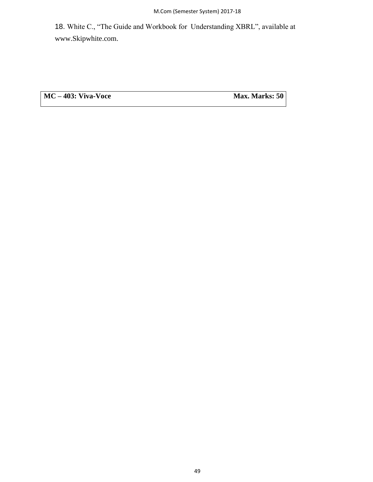18. White C., "The Guide and Workbook for Understanding XBRL", available at www.Skipwhite.com.

**MC** – **403: Viva-Voce Max. Marks: 50**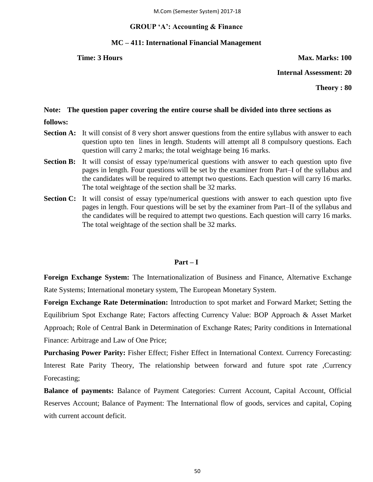## **GROUP 'A': Accounting & Finance**

## **MC – 411: International Financial Management**

**Time: 3 Hours Max. Marks: 100** 

**Internal Assessment: 20**

**Theory : 80**

## **Note: The question paper covering the entire course shall be divided into three sections as**

- **follows:**
- **Section A:** It will consist of 8 very short answer questions from the entire syllabus with answer to each question upto ten lines in length. Students will attempt all 8 compulsory questions. Each question will carry 2 marks; the total weightage being 16 marks.
- **Section B:** It will consist of essay type/numerical questions with answer to each question upto five pages in length. Four questions will be set by the examiner from Part–I of the syllabus and the candidates will be required to attempt two questions. Each question will carry 16 marks. The total weightage of the section shall be 32 marks.
- **Section C:** It will consist of essay type/numerical questions with answer to each question upto five pages in length. Four questions will be set by the examiner from Part–II of the syllabus and the candidates will be required to attempt two questions. Each question will carry 16 marks. The total weightage of the section shall be 32 marks.

## **Part – I**

**Foreign Exchange System:** The Internationalization of Business and Finance, Alternative Exchange Rate Systems; International monetary system, The European Monetary System.

**Foreign Exchange Rate Determination:** Introduction to spot market and Forward Market; Setting the Equilibrium Spot Exchange Rate; Factors affecting Currency Value: BOP Approach & Asset Market Approach; Role of Central Bank in Determination of Exchange Rates; Parity conditions in International Finance: Arbitrage and Law of One Price;

**Purchasing Power Parity:** Fisher Effect; Fisher Effect in International Context. Currency Forecasting: Interest Rate Parity Theory, The relationship between forward and future spot rate ,Currency Forecasting;

**Balance of payments:** Balance of Payment Categories: Current Account, Capital Account, Official Reserves Account; Balance of Payment: The International flow of goods, services and capital, Coping with current account deficit.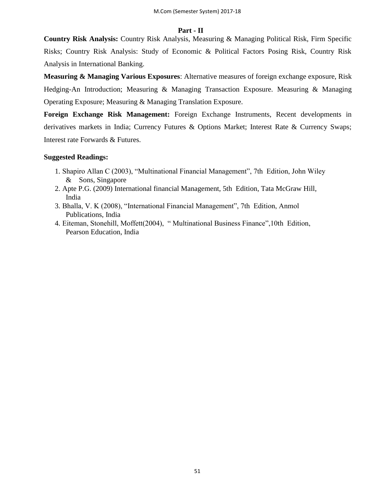## **Part - II**

**Country Risk Analysis:** Country Risk Analysis, Measuring & Managing Political Risk, Firm Specific Risks; Country Risk Analysis: Study of Economic & Political Factors Posing Risk, Country Risk Analysis in International Banking.

**Measuring & Managing Various Exposures**: Alternative measures of foreign exchange exposure, Risk Hedging-An Introduction; Measuring & Managing Transaction Exposure. Measuring & Managing Operating Exposure; Measuring & Managing Translation Exposure.

**Foreign Exchange Risk Management:** Foreign Exchange Instruments, Recent developments in derivatives markets in India; Currency Futures & Options Market; Interest Rate & Currency Swaps; Interest rate Forwards & Futures.

## **Suggested Readings:**

- 1. Shapiro Allan C (2003), "Multinational Financial Management", 7th Edition, John Wiley & Sons, Singapore
- 2. Apte P.G. (2009) International financial Management, 5th Edition, Tata McGraw Hill, India
- 3. Bhalla, V. K (2008), "International Financial Management", 7th Edition, Anmol Publications, India
- 4. Eiteman, Stonehill, Moffett(2004), "Multinational Business Finance",10th Edition, Pearson Education, India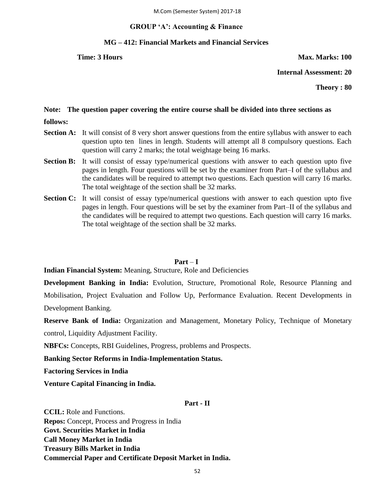## **GROUP 'A': Accounting & Finance**

## **MG – 412: Financial Markets and Financial Services**

**Time: 3 Hours Max. Marks: 100** 

**Internal Assessment: 20**

**Theory : 80**

# **Note: The question paper covering the entire course shall be divided into three sections as**

- **follows:**
- **Section A:** It will consist of 8 very short answer questions from the entire syllabus with answer to each question upto ten lines in length. Students will attempt all 8 compulsory questions. Each question will carry 2 marks; the total weightage being 16 marks.
- **Section B:** It will consist of essay type/numerical questions with answer to each question upto five pages in length. Four questions will be set by the examiner from Part–I of the syllabus and the candidates will be required to attempt two questions. Each question will carry 16 marks. The total weightage of the section shall be 32 marks.
- **Section C:** It will consist of essay type/numerical questions with answer to each question upto five pages in length. Four questions will be set by the examiner from Part–II of the syllabus and the candidates will be required to attempt two questions. Each question will carry 16 marks. The total weightage of the section shall be 32 marks.

## **Part** – **I**

**Indian Financial System:** Meaning, Structure, Role and Deficiencies

**Development Banking in India:** Evolution, Structure, Promotional Role, Resource Planning and Mobilisation, Project Evaluation and Follow Up, Performance Evaluation. Recent Developments in Development Banking.

**Reserve Bank of India:** Organization and Management, Monetary Policy, Technique of Monetary control, Liquidity Adjustment Facility.

**NBFCs:** Concepts, RBI Guidelines, Progress, problems and Prospects.

**Banking Sector Reforms in India-Implementation Status.** 

**Factoring Services in India** 

**Venture Capital Financing in India.** 

## **Part - II**

**CCIL:** Role and Functions. **Repos:** Concept, Process and Progress in India **Govt. Securities Market in India Call Money Market in India Treasury Bills Market in India Commercial Paper and Certificate Deposit Market in India.**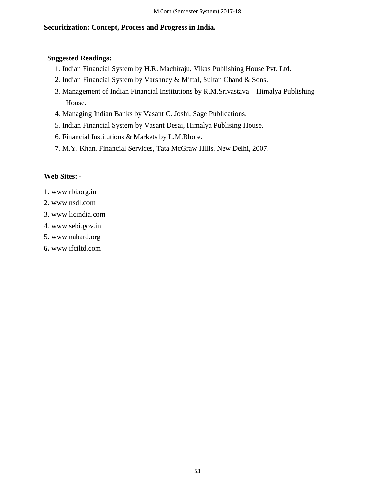# **Securitization: Concept, Process and Progress in India.**

# **Suggested Readings:**

- 1. Indian Financial System by H.R. Machiraju, Vikas Publishing House Pvt. Ltd.
- 2. Indian Financial System by Varshney & Mittal, Sultan Chand & Sons.
- 3. Management of Indian Financial Institutions by R.M.Srivastava Himalya Publishing House.
- 4. Managing Indian Banks by Vasant C. Joshi, Sage Publications.
- 5. Indian Financial System by Vasant Desai, Himalya Publising House.
- 6. Financial Institutions & Markets by L.M.Bhole.
- 7. M.Y. Khan, Financial Services, Tata McGraw Hills, New Delhi, 2007.

# **Web Sites: -**

- 1. www.rbi.org.in
- 2. www.nsdl.com
- 3. www.licindia.com
- 4. www.sebi.gov.in
- 5. www.nabard.org
- **6.** www.ifciltd.com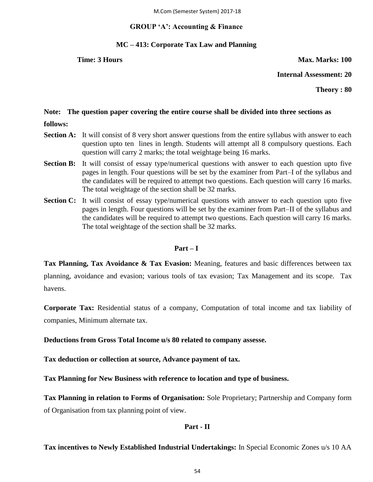M.Com (Semester System) 2017-18

## **GROUP 'A': Accounting & Finance**

## **MC – 413: Corporate Tax Law and Planning**

**Time: 3 Hours Max. Marks: 100** 

**Internal Assessment: 20**

**Theory : 80**

## **Note: The question paper covering the entire course shall be divided into three sections as**

- **follows:**
- **Section A:** It will consist of 8 very short answer questions from the entire syllabus with answer to each question upto ten lines in length. Students will attempt all 8 compulsory questions. Each question will carry 2 marks; the total weightage being 16 marks.
- **Section B:** It will consist of essay type/numerical questions with answer to each question upto five pages in length. Four questions will be set by the examiner from Part–I of the syllabus and the candidates will be required to attempt two questions. Each question will carry 16 marks. The total weightage of the section shall be 32 marks.
- **Section C:** It will consist of essay type/numerical questions with answer to each question upto five pages in length. Four questions will be set by the examiner from Part–II of the syllabus and the candidates will be required to attempt two questions. Each question will carry 16 marks. The total weightage of the section shall be 32 marks.

## **Part – I**

**Tax Planning, Tax Avoidance & Tax Evasion:** Meaning, features and basic differences between tax planning, avoidance and evasion; various tools of tax evasion; Tax Management and its scope. Tax havens.

**Corporate Tax:** Residential status of a company, Computation of total income and tax liability of companies, Minimum alternate tax.

**Deductions from Gross Total Income u/s 80 related to company assesse.** 

**Tax deduction or collection at source, Advance payment of tax.** 

**Tax Planning for New Business with reference to location and type of business.** 

**Tax Planning in relation to Forms of Organisation:** Sole Proprietary; Partnership and Company form of Organisation from tax planning point of view.

# **Part - II**

# **Tax incentives to Newly Established Industrial Undertakings:** In Special Economic Zones u/s 10 AA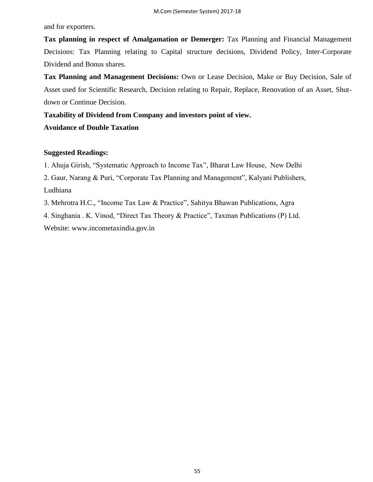and for exporters.

**Tax planning in respect of Amalgamation or Demerger:** Tax Planning and Financial Management Decisions: Tax Planning relating to Capital structure decisions, Dividend Policy, Inter-Corporate Dividend and Bonus shares.

**Tax Planning and Management Decisions:** Own or Lease Decision, Make or Buy Decision, Sale of Asset used for Scientific Research, Decision relating to Repair, Replace, Renovation of an Asset, Shutdown or Continue Decision.

**Taxability of Dividend from Company and investors point of view.**

# **Avoidance of Double Taxation**

## **Suggested Readings:**

1. Ahuja Girish, "Systematic Approach to Income Tax", Bharat Law House, New Delhi

2. Gaur, Narang & Puri, "Corporate Tax Planning and Management", Kalyani Publishers, Ludhiana

3. Mehrotra H.C., "Income Tax Law & Practice", Sahitya Bhawan Publications, Agra

4. Singhania . K. Vinod, "Direct Tax Theory & Practice", Taxman Publications (P) Ltd.

Website: www.incometaxindia.gov.in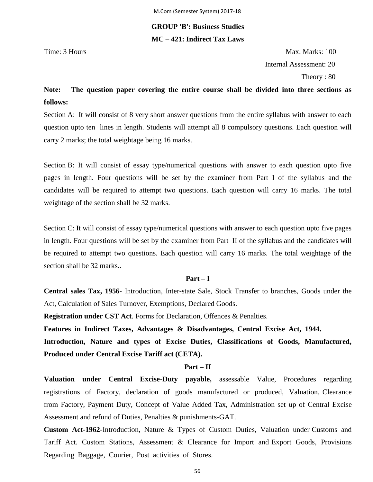# **GROUP 'B': Business Studies MC – 421: Indirect Tax Laws**

Time: 3 Hours Max. Marks: 100 Internal Assessment: 20 Theory : 80

# **Note: The question paper covering the entire course shall be divided into three sections as follows:**

Section A: It will consist of 8 very short answer questions from the entire syllabus with answer to each question upto ten lines in length. Students will attempt all 8 compulsory questions. Each question will carry 2 marks; the total weightage being 16 marks.

Section B: It will consist of essay type/numerical questions with answer to each question upto five pages in length. Four questions will be set by the examiner from Part–I of the syllabus and the candidates will be required to attempt two questions. Each question will carry 16 marks. The total weightage of the section shall be 32 marks.

Section C: It will consist of essay type/numerical questions with answer to each question upto five pages in length. Four questions will be set by the examiner from Part–II of the syllabus and the candidates will be required to attempt two questions. Each question will carry 16 marks. The total weightage of the section shall be 32 marks..

## **Part – I**

**Central sales Tax, 1956**- Introduction, Inter-state Sale, Stock Transfer to branches, Goods under the Act, Calculation of Sales Turnover, Exemptions, Declared Goods.

**Registration under CST Act**. Forms for Declaration, Offences & Penalties.

**Features in Indirect Taxes, Advantages & Disadvantages, Central Excise Act, 1944.**

**Introduction, Nature and types of Excise Duties, Classifications of Goods, Manufactured, Produced under Central Excise Tariff act (CETA).**

### **Part – II**

**Valuation under Central Excise-Duty payable,** assessable Value, Procedures regarding registrations of Factory, declaration of goods manufactured or produced, Valuation, Clearance from Factory, Payment Duty, Concept of Value Added Tax, Administration set up of Central Excise Assessment and refund of Duties, Penalties & punishments-GAT.

**Custom Act-1962**-Introduction, Nature & Types of Custom Duties, Valuation under Customs and Tariff Act. Custom Stations, Assessment & Clearance for Import and Export Goods, Provisions Regarding Baggage, Courier, Post activities of Stores.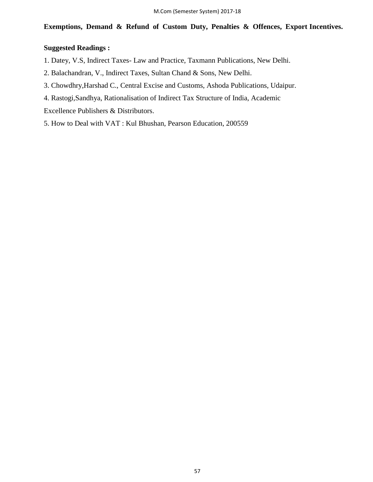# **Exemptions, Demand & Refund of Custom Duty, Penalties & Offences, Export Incentives.**

# **Suggested Readings :**

- 1. Datey, V.S, Indirect Taxes- Law and Practice, Taxmann Publications, New Delhi.
- 2. Balachandran, V., Indirect Taxes, Sultan Chand & Sons, New Delhi.
- 3. Chowdhry,Harshad C., Central Excise and Customs, Ashoda Publications, Udaipur.
- 4. Rastogi,Sandhya, Rationalisation of Indirect Tax Structure of India, Academic

Excellence Publishers & Distributors.

5. How to Deal with VAT : Kul Bhushan, Pearson Education, 200559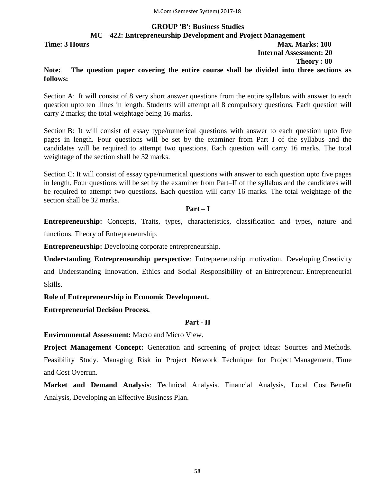# **GROUP 'B': Business Studies MC – 422: Entrepreneurship Development and Project Management Time: 3 Hours Max. Marks: 100 Internal Assessment: 20 Theory : 80**

# **Note: The question paper covering the entire course shall be divided into three sections as follows:**

Section A: It will consist of 8 very short answer questions from the entire syllabus with answer to each question upto ten lines in length. Students will attempt all 8 compulsory questions. Each question will carry 2 marks; the total weightage being 16 marks.

Section B: It will consist of essay type/numerical questions with answer to each question upto five pages in length. Four questions will be set by the examiner from Part–I of the syllabus and the candidates will be required to attempt two questions. Each question will carry 16 marks. The total weightage of the section shall be 32 marks.

Section C: It will consist of essay type/numerical questions with answer to each question upto five pages in length. Four questions will be set by the examiner from Part–II of the syllabus and the candidates will be required to attempt two questions. Each question will carry 16 marks. The total weightage of the section shall be 32 marks.

**Part – I**

**Entrepreneurship:** Concepts, Traits, types, characteristics, classification and types, nature and

functions. Theory of Entrepreneurship.

**Entrepreneurship:** Developing corporate entrepreneurship.

**Understanding Entrepreneurship perspective**: Entrepreneurship motivation. Developing Creativity and Understanding Innovation. Ethics and Social Responsibility of an Entrepreneur. Entrepreneurial Skills.

**Role of Entrepreneurship in Economic Development.**

**Entrepreneurial Decision Process.**

# **Part - II**

**Environmental Assessment:** Macro and Micro View.

**Project Management Concept:** Generation and screening of project ideas: Sources and Methods. Feasibility Study. Managing Risk in Project Network Technique for Project Management, Time and Cost Overrun.

**Market and Demand Analysis**: Technical Analysis. Financial Analysis, Local Cost Benefit Analysis, Developing an Effective Business Plan.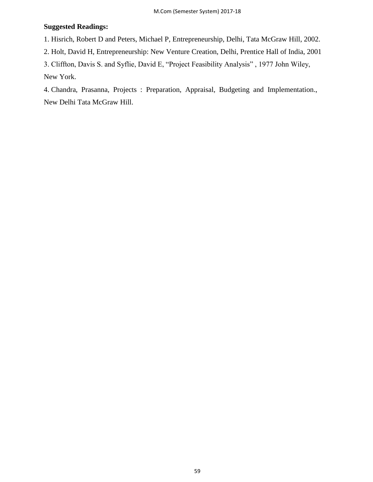# **Suggested Readings:**

1. Hisrich, Robert D and Peters, Michael P, Entrepreneurship, Delhi, Tata McGraw Hill, 2002.

2. Holt, David H, Entrepreneurship: New Venture Creation, Delhi, Prentice Hall of India, 2001

3. Cliffton, Davis S. and Syflie, David E, "Project Feasibility Analysis", 1977 John Wiley,

New York.

4. Chandra, Prasanna, Projects : Preparation, Appraisal, Budgeting and Implementation., New Delhi Tata McGraw Hill.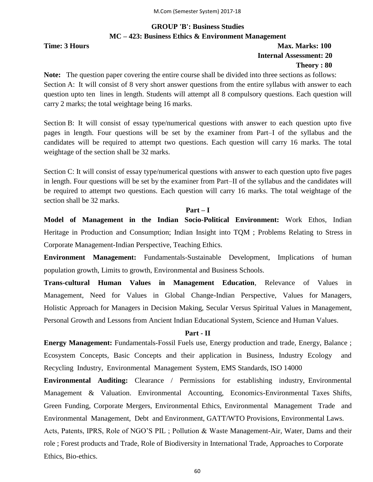# **GROUP 'B': Business Studies MC – 423: Business Ethics & Environment Management**

# **Time: 3 Hours Max. Marks: 100 Internal Assessment: 20 Theory : 80**

**Note:** The question paper covering the entire course shall be divided into three sections as follows: Section A: It will consist of 8 very short answer questions from the entire syllabus with answer to each question upto ten lines in length. Students will attempt all 8 compulsory questions. Each question will carry 2 marks; the total weightage being 16 marks.

Section B: It will consist of essay type/numerical questions with answer to each question upto five pages in length. Four questions will be set by the examiner from Part–I of the syllabus and the candidates will be required to attempt two questions. Each question will carry 16 marks. The total weightage of the section shall be 32 marks.

Section C: It will consist of essay type/numerical questions with answer to each question upto five pages in length. Four questions will be set by the examiner from Part–II of the syllabus and the candidates will be required to attempt two questions. Each question will carry 16 marks. The total weightage of the section shall be 32 marks.

# **Part – I**

**Model of Management in the Indian Socio-Political Environment:** Work Ethos, Indian Heritage in Production and Consumption; Indian Insight into TQM ; Problems Relating to Stress in Corporate Management-Indian Perspective, Teaching Ethics.

**Environment Management:** Fundamentals-Sustainable Development, Implications of human population growth, Limits to growth, Environmental and Business Schools.

**Trans-cultural Human Values in Management Education**, Relevance of Values in Management, Need for Values in Global Change-Indian Perspective, Values for Managers, Holistic Approach for Managers in Decision Making, Secular Versus Spiritual Values in Management, Personal Growth and Lessons from Ancient Indian Educational System, Science and Human Values.

## **Part - II**

**Energy Management:** Fundamentals-Fossil Fuels use, Energy production and trade, Energy, Balance ; Ecosystem Concepts, Basic Concepts and their application in Business, Industry Ecology and Recycling Industry, Environmental Management System, EMS Standards, ISO 14000

**Environmental Auditing:** Clearance / Permissions for establishing industry, Environmental Management & Valuation. Environmental Accounting, Economics-Environmental Taxes Shifts, Green Funding, Corporate Mergers, Environmental Ethics, Environmental Management Trade and Environmental Management, Debt and Environment, GATT/WTO Provisions, Environmental Laws. Acts, Patents, IPRS, Role of NGO'S PIL ; Pollution & Waste Management-Air, Water, Dams and their role ; Forest products and Trade, Role of Biodiversity in International Trade, Approaches to Corporate Ethics, Bio-ethics.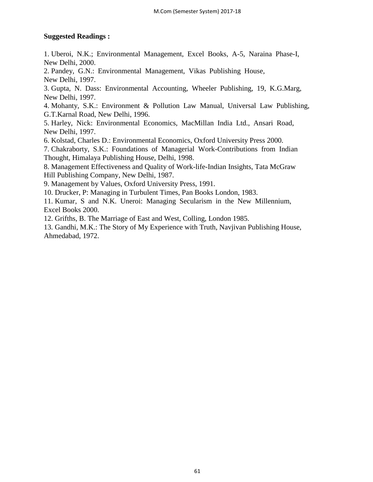# **Suggested Readings :**

1. Uberoi, N.K.; Environmental Management, Excel Books, A-5, Naraina Phase-I, New Delhi, 2000.

2. Pandey, G.N.: Environmental Management, Vikas Publishing House, New Delhi, 1997.

3. Gupta, N. Dass: Environmental Accounting, Wheeler Publishing, 19, K.G.Marg, New Delhi, 1997.

4. Mohanty, S.K.: Environment & Pollution Law Manual, Universal Law Publishing, G.T.Karnal Road, New Delhi, 1996.

5. Harley, Nick: Environmental Economics, MacMillan India Ltd., Ansari Road, New Delhi, 1997.

6. Kolstad, Charles D.: Environmental Economics, Oxford University Press 2000.

7. Chakraborty, S.K.: Foundations of Managerial Work-Contributions from Indian Thought, Himalaya Publishing House, Delhi, 1998.

8. Management Effectiveness and Quality of Work-life-Indian Insights, Tata McGraw Hill Publishing Company, New Delhi, 1987.

9. Management by Values, Oxford University Press, 1991.

10. Drucker, P: Managing in Turbulent Times, Pan Books London, 1983.

11. Kumar, S and N.K. Uneroi: Managing Secularism in the New Millennium, Excel Books 2000.

12. Grifths, B. The Marriage of East and West, Colling, London 1985.

13. Gandhi, M.K.: The Story of My Experience with Truth, Navjivan Publishing House, Ahmedabad, 1972.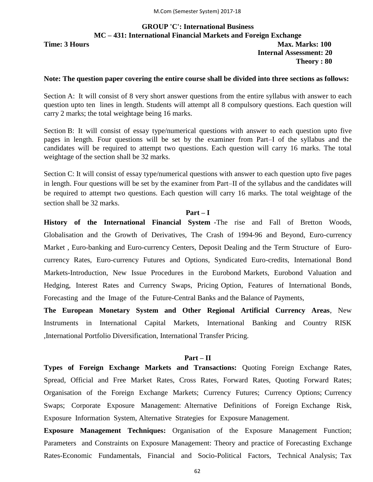# **GROUP 'C': International Business MC – 431: International Financial Markets and Foreign Exchange Time: 3 Hours Max. Marks: 100 Internal Assessment: 20 Theory : 80**

### **Note: The question paper covering the entire course shall be divided into three sections as follows:**

Section A: It will consist of 8 very short answer questions from the entire syllabus with answer to each question upto ten lines in length. Students will attempt all 8 compulsory questions. Each question will carry 2 marks; the total weightage being 16 marks.

Section B: It will consist of essay type/numerical questions with answer to each question upto five pages in length. Four questions will be set by the examiner from Part–I of the syllabus and the candidates will be required to attempt two questions. Each question will carry 16 marks. The total weightage of the section shall be 32 marks.

Section C: It will consist of essay type/numerical questions with answer to each question upto five pages in length. Four questions will be set by the examiner from Part–II of the syllabus and the candidates will be required to attempt two questions. Each question will carry 16 marks. The total weightage of the section shall be 32 marks.

### **Part – I**

**History of the International Financial System** -The rise and Fall of Bretton Woods, Globalisation and the Growth of Derivatives, The Crash of 1994-96 and Beyond, Euro-currency Market , Euro-banking and Euro-currency Centers, Deposit Dealing and the Term Structure of Eurocurrency Rates, Euro-currency Futures and Options, Syndicated Euro-credits, International Bond Markets-Introduction, New Issue Procedures in the Eurobond Markets, Eurobond Valuation and Hedging, Interest Rates and Currency Swaps, Pricing Option, Features of International Bonds, Forecasting and the Image of the Future-Central Banks and the Balance of Payments,

**The European Monetary System and Other Regional Artificial Currency Areas**, New Instruments in International Capital Markets, International Banking and Country RISK ,International Portfolio Diversification, International Transfer Pricing.

### **Part – II**

**Types of Foreign Exchange Markets and Transactions:** Quoting Foreign Exchange Rates, Spread, Official and Free Market Rates, Cross Rates, Forward Rates, Quoting Forward Rates; Organisation of the Foreign Exchange Markets; Currency Futures; Currency Options; Currency Swaps; Corporate Exposure Management: Alternative Definitions of Foreign Exchange Risk, Exposure Information System, Alternative Strategies for Exposure Management.

**Exposure Management Techniques:** Organisation of the Exposure Management Function; Parameters and Constraints on Exposure Management: Theory and practice of Forecasting Exchange Rates-Economic Fundamentals, Financial and Socio-Political Factors, Technical Analysis; Tax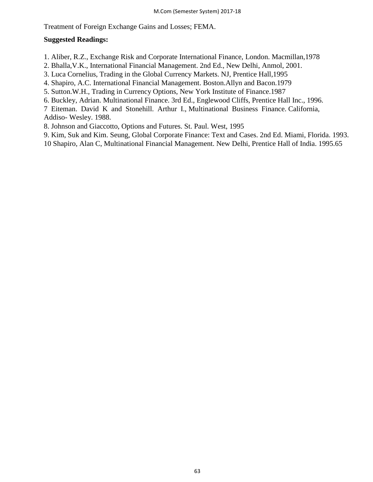Treatment of Foreign Exchange Gains and Losses; FEMA.

## **Suggested Readings:**

1. Aliber, R.Z., Exchange Risk and Corporate International Finance, London. Macmillan,1978

- 2. Bhalla,V.K., International Financial Management. 2nd Ed., New Delhi, Anmol, 2001.
- 3. Luca Cornelius, Trading in the Global Currency Markets. NJ, Prentice Hall,1995
- 4. Shapiro, A.C. International Financial Management. Boston.Allyn and Bacon.1979
- 5. Sutton.W.H., Trading in Currency Options, New York Institute of Finance.1987
- 6. Buckley, Adrian. Multinational Finance. 3rd Ed., Englewood Cliffs, Prentice Hall Inc., 1996.
- 7 Eiteman. David K and Stonehill. Arthur I., Multinational Business Finance. California,

Addiso- Wesley. 1988.

- 8. Johnson and Giaccotto, Options and Futures. St. Paul. West, 1995
- 9. Kim, Suk and Kim. Seung, Global Corporate Finance: Text and Cases. 2nd Ed. Miami, Florida. 1993.
- 10 Shapiro, Alan C, Multinational Financial Management. New Delhi, Prentice Hall of India. 1995.65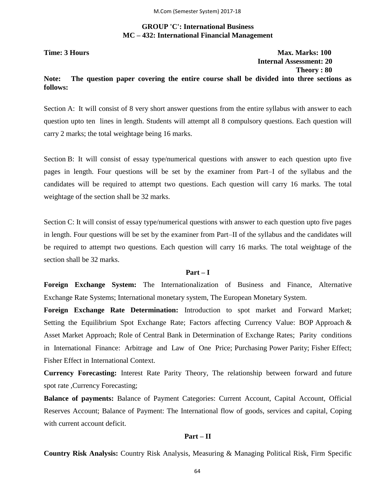# **GROUP 'C': International Business MC – 432: International Financial Management**

**Time: 3 Hours Max. Marks: 100 Internal Assessment: 20 Theory : 80**

## **Note: The question paper covering the entire course shall be divided into three sections as follows:**

Section A: It will consist of 8 very short answer questions from the entire syllabus with answer to each question upto ten lines in length. Students will attempt all 8 compulsory questions. Each question will carry 2 marks; the total weightage being 16 marks.

Section B: It will consist of essay type/numerical questions with answer to each question upto five pages in length. Four questions will be set by the examiner from Part–I of the syllabus and the candidates will be required to attempt two questions. Each question will carry 16 marks. The total weightage of the section shall be 32 marks.

Section C: It will consist of essay type/numerical questions with answer to each question upto five pages in length. Four questions will be set by the examiner from Part–II of the syllabus and the candidates will be required to attempt two questions. Each question will carry 16 marks. The total weightage of the section shall be 32 marks.

## **Part – I**

**Foreign Exchange System:** The Internationalization of Business and Finance, Alternative Exchange Rate Systems; International monetary system, The European Monetary System.

**Foreign Exchange Rate Determination:** Introduction to spot market and Forward Market; Setting the Equilibrium Spot Exchange Rate; Factors affecting Currency Value: BOP Approach & Asset Market Approach; Role of Central Bank in Determination of Exchange Rates; Parity conditions in International Finance: Arbitrage and Law of One Price; Purchasing Power Parity; Fisher Effect; Fisher Effect in International Context.

**Currency Forecasting:** Interest Rate Parity Theory, The relationship between forward and future spot rate ,Currency Forecasting;

**Balance of payments:** Balance of Payment Categories: Current Account, Capital Account, Official Reserves Account; Balance of Payment: The International flow of goods, services and capital, Coping with current account deficit.

### **Part – II**

**Country Risk Analysis:** Country Risk Analysis, Measuring & Managing Political Risk, Firm Specific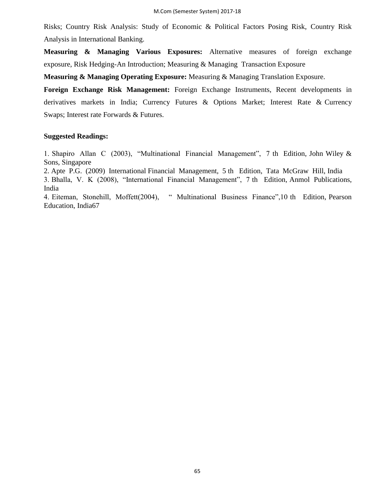Risks; Country Risk Analysis: Study of Economic & Political Factors Posing Risk, Country Risk Analysis in International Banking.

**Measuring & Managing Various Exposures:** Alternative measures of foreign exchange exposure, Risk Hedging-An Introduction; Measuring & Managing Transaction Exposure

**Measuring & Managing Operating Exposure:** Measuring & Managing Translation Exposure.

**Foreign Exchange Risk Management:** Foreign Exchange Instruments, Recent developments in derivatives markets in India; Currency Futures & Options Market; Interest Rate & Currency Swaps; Interest rate Forwards & Futures.

## **Suggested Readings:**

1. Shapiro Allan C (2003), "Multinational Financial Management", 7 th Edition, John Wiley  $\&$ Sons, Singapore

2. Apte P.G. (2009) International Financial Management, 5 th Edition, Tata McGraw Hill, India

3. Bhalla, V. K (2008), "International Financial Management", 7 th Edition, Anmol Publications, India

4. Eiteman, Stonehill, Moffett(2004), " Multinational Business Finance",10 th Edition, Pearson Education, India67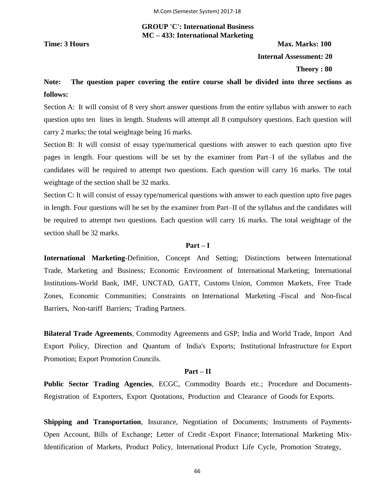# **GROUP 'C': International Business MC – 433: International Marketing**

**Time: 3 Hours Max. Marks: 100 Internal Assessment: 20**

 **Theory : 80**

# **Note: The question paper covering the entire course shall be divided into three sections as follows:**

Section A: It will consist of 8 very short answer questions from the entire syllabus with answer to each question upto ten lines in length. Students will attempt all 8 compulsory questions. Each question will carry 2 marks; the total weightage being 16 marks.

Section B: It will consist of essay type/numerical questions with answer to each question upto five pages in length. Four questions will be set by the examiner from Part–I of the syllabus and the candidates will be required to attempt two questions. Each question will carry 16 marks. The total weightage of the section shall be 32 marks.

Section C: It will consist of essay type/numerical questions with answer to each question upto five pages in length. Four questions will be set by the examiner from Part–II of the syllabus and the candidates will be required to attempt two questions. Each question will carry 16 marks. The total weightage of the section shall be 32 marks.

# **Part – I**

**International Marketing**-Definition, Concept And Setting; Distinctions between International Trade, Marketing and Business; Economic Environment of International Marketing; International Institutions-World Bank, IMF, UNCTAD, GATT, Customs Union, Common Markets, Free Trade Zones, Economic Communities; Constraints on International Marketing -Fiscal and Non-fiscal Barriers, Non-tariff Barriers; Trading Partners.

**Bilateral Trade Agreements**, Commodity Agreements and GSP; India and World Trade, Import And Export Policy, Direction and Quantum of India's Exports; Institutional Infrastructure for Export Promotion; Export Promotion Councils.

## **Part – II**

**Public Sector Trading Agencies**, ECGC, Commodity Boards etc.; Procedure and Documents-Registration of Exporters, Export Quotations, Production and Clearance of Goods for Exports.

**Shipping and Transportation**, Insurance, Negotiation of Documents; Instruments of Payments-Open Account, Bills of Exchange; Letter of Credit -Export Finance; International Marketing Mix-Identification of Markets, Product Policy, International Product Life Cycle, Promotion Strategy,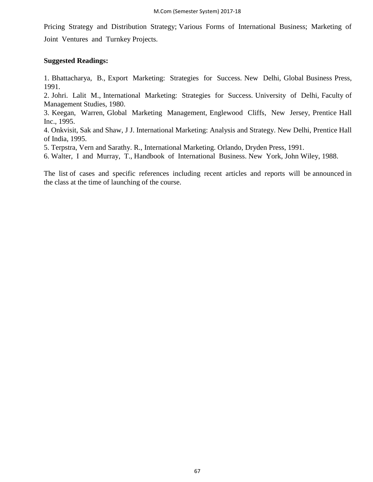Pricing Strategy and Distribution Strategy; Various Forms of International Business; Marketing of Joint Ventures and Turnkey Projects.

## **Suggested Readings:**

1. Bhattacharya, B., Export Marketing: Strategies for Success. New Delhi, Global Business Press, 1991.

2. Johri. Lalit M., International Marketing: Strategies for Success. University of Delhi, Faculty of Management Studies, 1980.

3. Keegan, Warren, Global Marketing Management, Englewood Cliffs, New Jersey, Prentice Hall Inc., 1995.

4. Onkvisit, Sak and Shaw, J J. International Marketing: Analysis and Strategy. New Delhi, Prentice Hall of India, 1995.

5. Terpstra, Vern and Sarathy. R., International Marketing. Orlando, Dryden Press, 1991.

6. Walter, I and Murray, T., Handbook of International Business. New York, John Wiley, 1988.

The list of cases and specific references including recent articles and reports will be announced in the class at the time of launching of the course.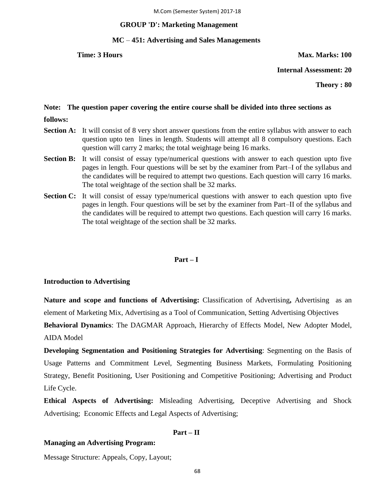## **GROUP 'D': Marketing Management**

# **MC** *–* **451: Advertising and Sales Managements**

## **Time: 3 Hours Max. Marks: 100**

**Internal Assessment: 20**

**Theory : 80**

# **Note: The question paper covering the entire course shall be divided into three sections as**

- **follows:**
- **Section A:** It will consist of 8 very short answer questions from the entire syllabus with answer to each question upto ten lines in length. Students will attempt all 8 compulsory questions. Each question will carry 2 marks; the total weightage being 16 marks.
- **Section B:** It will consist of essay type/numerical questions with answer to each question upto five pages in length. Four questions will be set by the examiner from Part–I of the syllabus and the candidates will be required to attempt two questions. Each question will carry 16 marks. The total weightage of the section shall be 32 marks.
- **Section C:** It will consist of essay type/numerical questions with answer to each question upto five pages in length. Four questions will be set by the examiner from Part–II of the syllabus and the candidates will be required to attempt two questions. Each question will carry 16 marks. The total weightage of the section shall be 32 marks.

## **Part – I**

## **Introduction to Advertising**

**Nature and scope and functions of Advertising:** Classification of Advertising**,** Advertising as an element of Marketing Mix, Advertising as a Tool of Communication, Setting Advertising Objectives

**Behavioral Dynamics**: The DAGMAR Approach, Hierarchy of Effects Model, New Adopter Model, AIDA Model

**Developing Segmentation and Positioning Strategies for Advertising**: Segmenting on the Basis of Usage Patterns and Commitment Level, Segmenting Business Markets, Formulating Positioning Strategy, Benefit Positioning, User Positioning and Competitive Positioning; Advertising and Product Life Cycle.

**Ethical Aspects of Advertising:** Misleading Advertising, Deceptive Advertising and Shock Advertising; Economic Effects and Legal Aspects of Advertising;

# **Part – II**

# **Managing an Advertising Program:**

Message Structure: Appeals, Copy, Layout;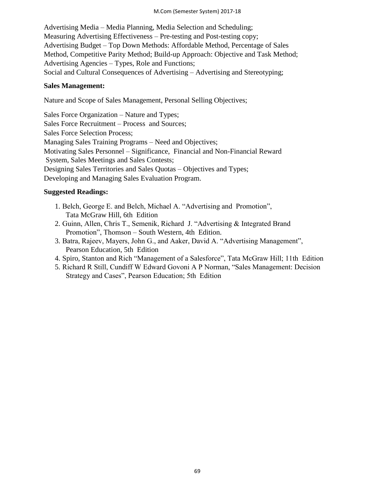## M.Com (Semester System) 2017-18

Advertising Media – Media Planning, Media Selection and Scheduling; Measuring Advertising Effectiveness – Pre-testing and Post-testing copy; Advertising Budget – Top Down Methods: Affordable Method, Percentage of Sales Method, Competitive Parity Method; Build-up Approach: Objective and Task Method; Advertising Agencies – Types, Role and Functions; Social and Cultural Consequences of Advertising – Advertising and Stereotyping;

# **Sales Management:**

Nature and Scope of Sales Management, Personal Selling Objectives;

Sales Force Organization – Nature and Types; Sales Force Recruitment – Process and Sources; Sales Force Selection Process; Managing Sales Training Programs – Need and Objectives; Motivating Sales Personnel – Significance, Financial and Non-Financial Reward System, Sales Meetings and Sales Contests; Designing Sales Territories and Sales Quotas – Objectives and Types; Developing and Managing Sales Evaluation Program.

# **Suggested Readings:**

- 1. Belch, George E. and Belch, Michael A. "Advertising and Promotion", Tata McGraw Hill, 6th Edition
- 2. Guinn, Allen, Chris T., Semenik, Richard J. "Advertising & Integrated Brand Promotion", Thomson – South Western, 4th Edition.
- 3. Batra, Rajeev, Mayers, John G., and Aaker, David A. "Advertising Management", Pearson Education, 5th Edition
- 4. Spiro, Stanton and Rich "Management of a Salesforce", Tata McGraw Hill; 11th Edition
- 5. Richard R Still, Cundiff W Edward Govoni A P Norman, "Sales Management: Decision Strategy and Cases", Pearson Education; 5th Edition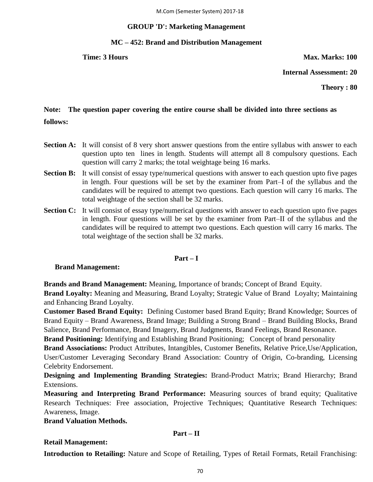## **GROUP 'D': Marketing Management**

## **MC – 452: Brand and Distribution Management**

**Time: 3 Hours Max. Marks: 100** 

**Internal Assessment: 20**

**Theory : 80**

# **Note: The question paper covering the entire course shall be divided into three sections as follows:**

- **Section A:** It will consist of 8 very short answer questions from the entire syllabus with answer to each question upto ten lines in length. Students will attempt all 8 compulsory questions. Each question will carry 2 marks; the total weightage being 16 marks.
- **Section B:** It will consist of essay type/numerical questions with answer to each question upto five pages in length. Four questions will be set by the examiner from Part–I of the syllabus and the candidates will be required to attempt two questions. Each question will carry 16 marks. The total weightage of the section shall be 32 marks.
- **Section C:** It will consist of essay type/numerical questions with answer to each question upto five pages in length. Four questions will be set by the examiner from Part–II of the syllabus and the candidates will be required to attempt two questions. Each question will carry 16 marks. The total weightage of the section shall be 32 marks.

## **Part – I**

## **Brand Management:**

**Brands and Brand Management:** Meaning, Importance of brands; Concept of Brand Equity.

**Brand Loyalty:** Meaning and Measuring, Brand Loyalty; Strategic Value of Brand Loyalty; Maintaining and Enhancing Brand Loyalty.

**Customer Based Brand Equity:** Defining Customer based Brand Equity; Brand Knowledge; Sources of Brand Equity – Brand Awareness, Brand Image; Building a Strong Brand – Brand Building Blocks, Brand Salience, Brand Performance, Brand Imagery, Brand Judgments, Brand Feelings, Brand Resonance.

**Brand Positioning:** Identifying and Establishing Brand Positioning; Concept of brand personality

**Brand Associations:** Product Attributes, Intangibles, Customer Benefits, Relative Price,Use/Application, User/Customer Leveraging Secondary Brand Association: Country of Origin, Co-branding, Licensing Celebrity Endorsement.

**Designing and Implementing Branding Strategies:** Brand-Product Matrix; Brand Hierarchy; Brand Extensions.

**Measuring and Interpreting Brand Performance:** Measuring sources of brand equity; Qualitative Research Techniques: Free association, Projective Techniques; Quantitative Research Techniques: Awareness, Image.

**Brand Valuation Methods.** 

# **Part – II**

# **Retail Management:**

**Introduction to Retailing:** Nature and Scope of Retailing, Types of Retail Formats, Retail Franchising: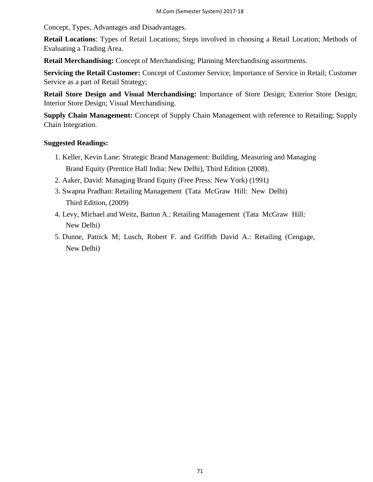Concept, Types, Advantages and Disadvantages.

**Retail Locations**: Types of Retail Locations; Steps involved in choosing a Retail Location; Methods of Evaluating a Trading Area.

**Retail Merchandising:** Concept of Merchandising; Planning Merchandising assortments.

**Servicing the Retail Customer:** Concept of Customer Service; Importance of Service in Retail; Customer Service as a part of Retail Strategy;

**Retail Store Design and Visual Merchandising:** Importance of Store Design; Exterior Store Design; Interior Store Design; Visual Merchandising.

**Supply Chain Management:** Concept of Supply Chain Management with reference to Retailing; Supply Chain Integration.

## **Suggested Readings:**

- 1. Keller, Kevin Lane: Strategic Brand Management: Building, Measuring and Managing Brand Equity (Prentice Hall India: New Delhi), Third Edition (2008).
- 2. Aaker, David: Managing Brand Equity (Free Press: New York) (1991)
- 3. Swapna Pradhan: Retailing Management (Tata McGraw Hill: New Delhi) Third Edition, (2009)
- 4. Levy, Michael and Weitz, Barton A.: Retailing Management (Tata McGraw Hill: New Delhi)
- 5. Dunne, Patrick M; Lusch, Robert F. and Griffith David A.: Retailing (Cengage, New Delhi)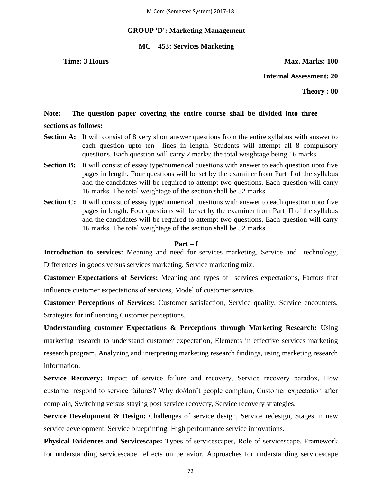## **GROUP 'D': Marketing Management**

# **MC – 453: Services Marketing**

**Time: 3 Hours Max. Marks: 100** 

**Internal Assessment: 20**

**Theory : 80**

# **Note: The question paper covering the entire course shall be divided into three**

# **sections as follows:**

- **Section A:** It will consist of 8 very short answer questions from the entire syllabus with answer to each question upto ten lines in length. Students will attempt all 8 compulsory questions. Each question will carry 2 marks; the total weightage being 16 marks.
- **Section B:** It will consist of essay type/numerical questions with answer to each question upto five pages in length. Four questions will be set by the examiner from Part–I of the syllabus and the candidates will be required to attempt two questions. Each question will carry 16 marks. The total weightage of the section shall be 32 marks.
- **Section C:** It will consist of essay type/numerical questions with answer to each question upto five pages in length. Four questions will be set by the examiner from Part–II of the syllabus and the candidates will be required to attempt two questions. Each question will carry 16 marks. The total weightage of the section shall be 32 marks.

## **Part – I**

**Introduction to services:** Meaning and need for services marketing, Service and technology, Differences in goods versus services marketing, Service marketing mix.

**Customer Expectations of Services:** Meaning and types of services expectations, Factors that influence customer expectations of services, Model of customer service.

**Customer Perceptions of Services:** Customer satisfaction, Service quality, Service encounters, Strategies for influencing Customer perceptions.

**Understanding customer Expectations & Perceptions through Marketing Research:** Using marketing research to understand customer expectation, Elements in effective services marketing research program, Analyzing and interpreting marketing research findings, using marketing research information.

Service Recovery: Impact of service failure and recovery, Service recovery paradox, How customer respond to service failures? Why do/don't people complain, Customer expectation after complain, Switching versus staying post service recovery, Service recovery strategies.

**Service Development & Design:** Challenges of service design, Service redesign, Stages in new service development, Service blueprinting, High performance service innovations.

**Physical Evidences and Servicescape:** Types of servicescapes, Role of servicescape, Framework for understanding servicescape effects on behavior, Approaches for understanding servicescape